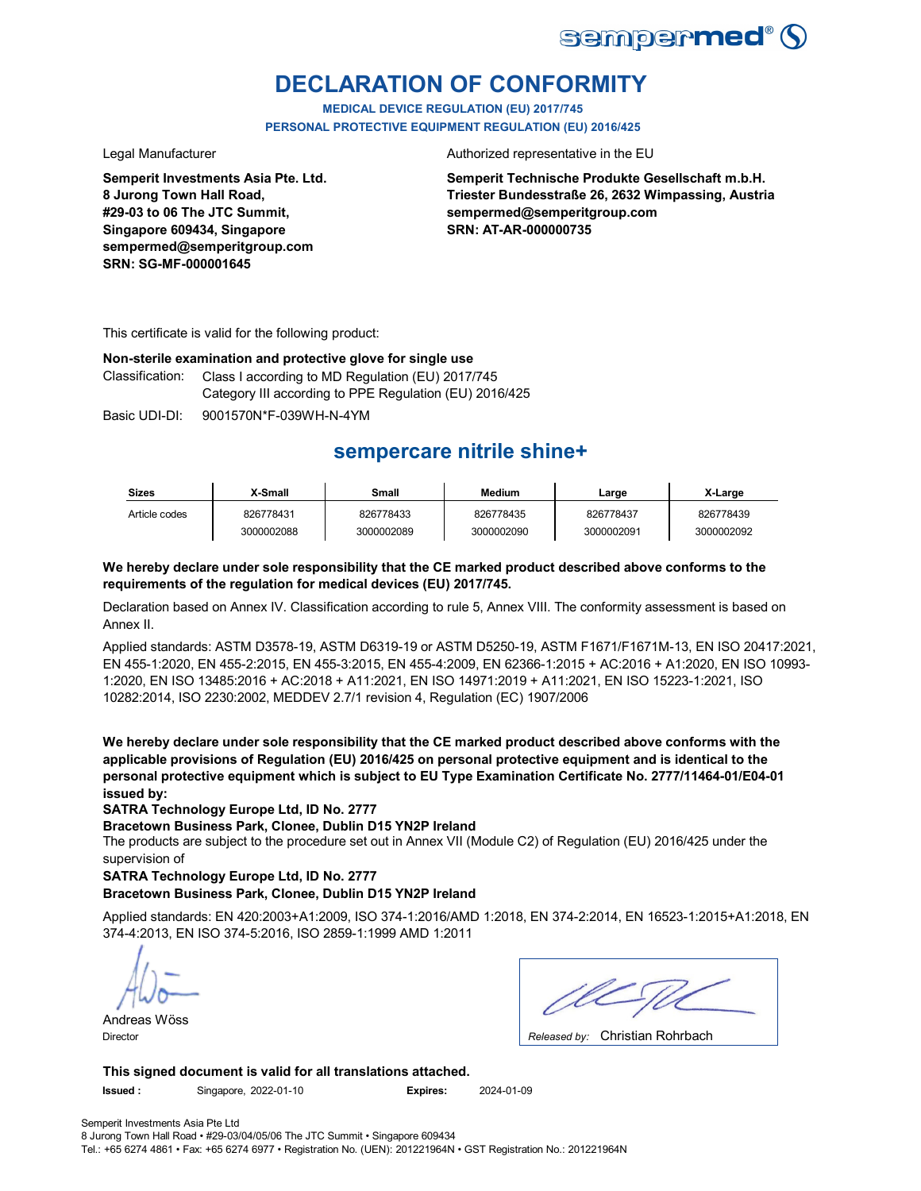

## **DECLARATION OF CONFORMITY**

**MEDICAL DEVICE REGULATION (EU) 2017/745 PERSONAL PROTECTIVE EQUIPMENT REGULATION (EU) 2016/425**

**Semperit Investments Asia Pte. Ltd. 8 Jurong Town Hall Road, #29-03 to 06 The JTC Summit, Singapore 609434, Singapore sempermed@semperitgroup.com SRN: SG-MF-000001645**

Legal Manufacturer **Authorized representative in the EU** 

**Semperit Technische Produkte Gesellschaft m.b.H. Triester Bundesstraße 26, 2632 Wimpassing, Austria sempermed@semperitgroup.com SRN: AT-AR-000000735**

This certificate is valid for the following product:

## **Non-sterile examination and protective glove for single use**

Classification: Class I according to MD Regulation (EU) 2017/745 Category III according to PPE Regulation (EU) 2016/425

Basic UDI-DI: 9001570N\*F-039WH-N-4YM

## **sempercare nitrile shine+**

| <b>Sizes</b>  | X-Small    | Small      | <b>Medium</b> | ∟arge      | X-Large    |
|---------------|------------|------------|---------------|------------|------------|
| Article codes | 826778431  | 826778433  | 826778435     | 826778437  | 826778439  |
|               | 3000002088 | 3000002089 | 3000002090    | 3000002091 | 3000002092 |

## **We hereby declare under sole responsibility that the CE marked product described above conforms to the requirements of the regulation for medical devices (EU) 2017/745.**

Declaration based on Annex IV. Classification according to rule 5, Annex VIII. The conformity assessment is based on Annex II.

Applied standards: ASTM D3578-19, ASTM D6319-19 or ASTM D5250-19, ASTM F1671/F1671M-13, EN ISO 20417:2021, EN 455-1:2020, EN 455-2:2015, EN 455-3:2015, EN 455-4:2009, EN 62366-1:2015 + AC:2016 + A1:2020, EN ISO 10993- 1:2020, EN ISO 13485:2016 + AC:2018 + A11:2021, EN ISO 14971:2019 + A11:2021, EN ISO 15223-1:2021, ISO 10282:2014, ISO 2230:2002, MEDDEV 2.7/1 revision 4, Regulation (EC) 1907/2006

**We hereby declare under sole responsibility that the CE marked product described above conforms with the applicable provisions of Regulation (EU) 2016/425 on personal protective equipment and is identical to the personal protective equipment which is subject to EU Type Examination Certificate No. 2777/11464-01/E04-01 issued by:**

**SATRA Technology Europe Ltd, ID No. 2777**

**Bracetown Business Park, Clonee, Dublin D15 YN2P Ireland**

The products are subject to the procedure set out in Annex VII (Module C2) of Regulation (EU) 2016/425 under the supervision of

## **SATRA Technology Europe Ltd, ID No. 2777**

## **Bracetown Business Park, Clonee, Dublin D15 YN2P Ireland**

Applied standards: EN 420:2003+A1:2009, ISO 374-1:2016/AMD 1:2018, EN 374-2:2014, EN 16523-1:2015+A1:2018, EN 374-4:2013, EN ISO 374-5:2016, ISO 2859-1:1999 AMD 1:2011

Andreas Wöss

Christian Rohrbach Director *Released by:* 

**This signed document is valid for all translations attached.**

**Issued :** Singapore, 2022-01-10 **Expires:** 2024-01-09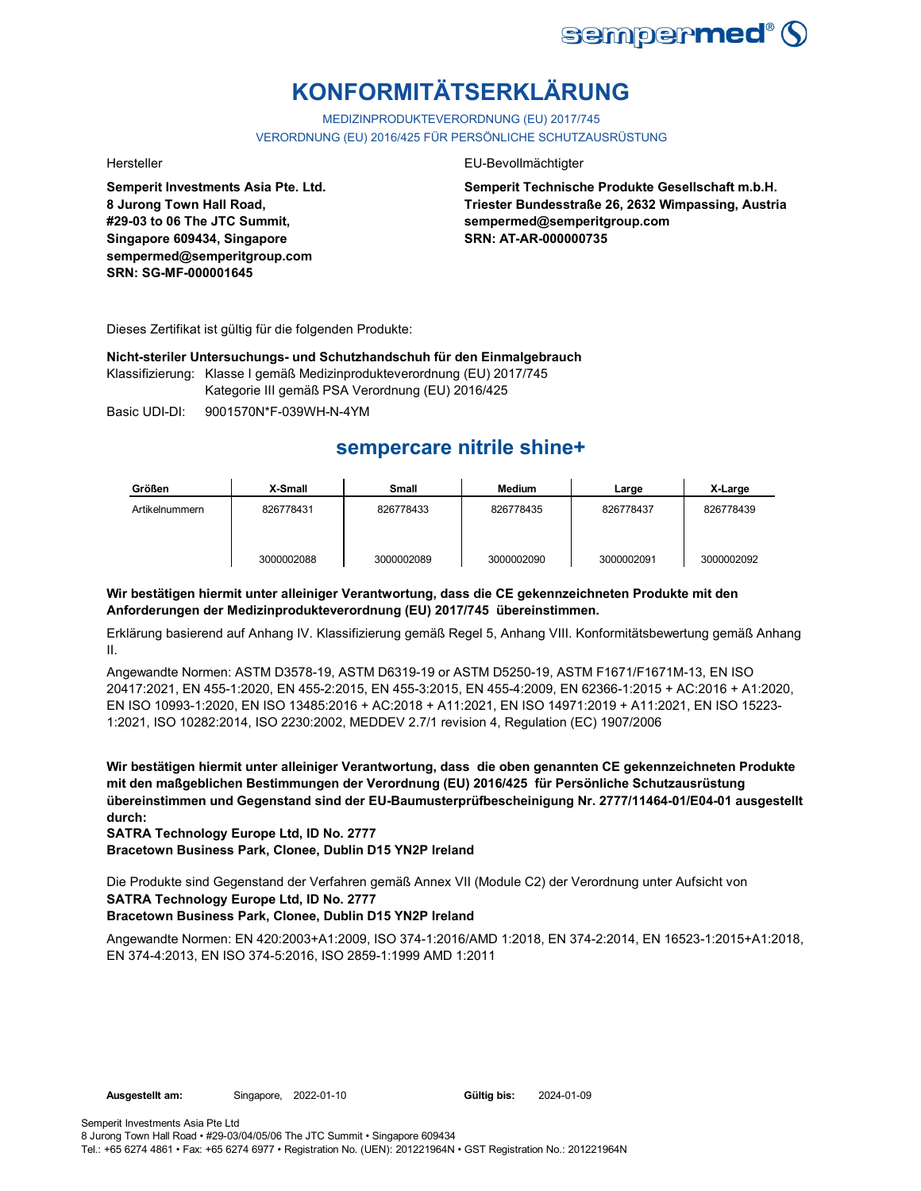

# **KONFORMITÄTSERKLÄRUNG**

MEDIZINPRODUKTEVERORDNUNG (EU) 2017/745 VERORDNUNG (EU) 2016/425 FÜR PERSÖNLICHE SCHUTZAUSRÜSTUNG

**Semperit Investments Asia Pte. Ltd. 8 Jurong Town Hall Road, #29-03 to 06 The JTC Summit, Singapore 609434, Singapore sempermed@semperitgroup.com SRN: SG-MF-000001645**

## Hersteller EU-Bevollmächtigter

**Semperit Technische Produkte Gesellschaft m.b.H. Triester Bundesstraße 26, 2632 Wimpassing, Austria sempermed@semperitgroup.com SRN: AT-AR-000000735**

Dieses Zertifikat ist gültig für die folgenden Produkte:

**Nicht-steriler Untersuchungs- und Schutzhandschuh für den Einmalgebrauch**

Klassifizierung: Klasse I gemäß Medizinprodukteverordnung (EU) 2017/745 Kategorie III gemäß PSA Verordnung (EU) 2016/425

Basic UDI-DI: 9001570N\*F-039WH-N-4YM

## **sempercare nitrile shine+**

| Größen         | X-Small    | <b>Small</b> | <b>Medium</b> | Large      | X-Large    |
|----------------|------------|--------------|---------------|------------|------------|
| Artikelnummern | 826778431  | 826778433    | 826778435     | 826778437  | 826778439  |
|                | 3000002088 | 3000002089   | 3000002090    | 3000002091 | 3000002092 |

## **Wir bestätigen hiermit unter alleiniger Verantwortung, dass die CE gekennzeichneten Produkte mit den Anforderungen der Medizinprodukteverordnung (EU) 2017/745 übereinstimmen.**

Erklärung basierend auf Anhang IV. Klassifizierung gemäß Regel 5, Anhang VIII. Konformitätsbewertung gemäß Anhang II.

Angewandte Normen: ASTM D3578-19, ASTM D6319-19 or ASTM D5250-19, ASTM F1671/F1671M-13, EN ISO 20417:2021, EN 455-1:2020, EN 455-2:2015, EN 455-3:2015, EN 455-4:2009, EN 62366-1:2015 + AC:2016 + A1:2020, EN ISO 10993-1:2020, EN ISO 13485:2016 + AC:2018 + A11:2021, EN ISO 14971:2019 + A11:2021, EN ISO 15223- 1:2021, ISO 10282:2014, ISO 2230:2002, MEDDEV 2.7/1 revision 4, Regulation (EC) 1907/2006

**Wir bestätigen hiermit unter alleiniger Verantwortung, dass die oben genannten CE gekennzeichneten Produkte mit den maßgeblichen Bestimmungen der Verordnung (EU) 2016/425 für Persönliche Schutzausrüstung übereinstimmen und Gegenstand sind der EU-Baumusterprüfbescheinigung Nr. 2777/11464-01/E04-01 ausgestellt durch:**

**SATRA Technology Europe Ltd, ID No. 2777**

**Bracetown Business Park, Clonee, Dublin D15 YN2P Ireland**

**SATRA Technology Europe Ltd, ID No. 2777** Die Produkte sind Gegenstand der Verfahren gemäß Annex VII (Module C2) der Verordnung unter Aufsicht von

## **Bracetown Business Park, Clonee, Dublin D15 YN2P Ireland**

Angewandte Normen: EN 420:2003+A1:2009, ISO 374-1:2016/AMD 1:2018, EN 374-2:2014, EN 16523-1:2015+A1:2018, EN 374-4:2013, EN ISO 374-5:2016, ISO 2859-1:1999 AMD 1:2011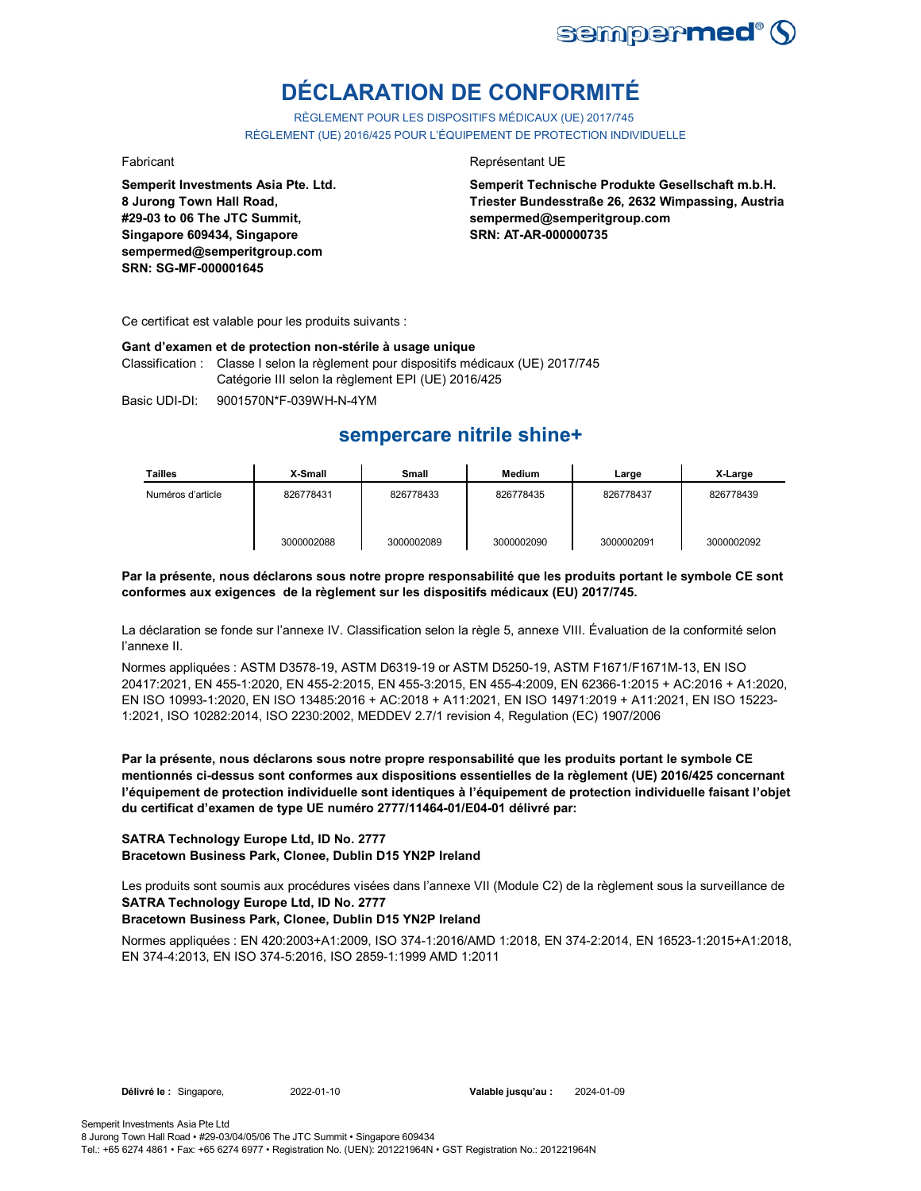

# **DÉCLARATION DE CONFORMITÉ**

RÈGLEMENT POUR LES DISPOSITIFS MÉDICAUX (UE) 2017/745 RÈGLEMENT (UE) 2016/425 POUR L'ÉQUIPEMENT DE PROTECTION INDIVIDUELLE

**Semperit Investments Asia Pte. Ltd. 8 Jurong Town Hall Road, #29-03 to 06 The JTC Summit, Singapore 609434, Singapore sempermed@semperitgroup.com SRN: SG-MF-000001645**

### Fabricant **Représentant UE**

**Semperit Technische Produkte Gesellschaft m.b.H. Triester Bundesstraße 26, 2632 Wimpassing, Austria sempermed@semperitgroup.com SRN: AT-AR-000000735**

Ce certificat est valable pour les produits suivants :

### **Gant d'examen et de protection non-stérile à usage unique**

Classification : Classe I selon la règlement pour dispositifs médicaux (UE) 2017/745 Catégorie III selon la règlement EPI (UE) 2016/425

Basic UDI-DI: 9001570N\*F-039WH-N-4YM

## **sempercare nitrile shine+**

| Tailles           | X-Small    | Small      | Medium     | Large      | X-Large    |
|-------------------|------------|------------|------------|------------|------------|
| Numéros d'article | 826778431  | 826778433  | 826778435  | 826778437  | 826778439  |
|                   | 3000002088 | 3000002089 | 3000002090 | 3000002091 | 3000002092 |

### **Par la présente, nous déclarons sous notre propre responsabilité que les produits portant le symbole CE sont conformes aux exigences de la règlement sur les dispositifs médicaux (EU) 2017/745.**

La déclaration se fonde sur l'annexe IV. Classification selon la règle 5, annexe VIII. Évaluation de la conformité selon l'annexe II.

Normes appliquées : ASTM D3578-19, ASTM D6319-19 or ASTM D5250-19, ASTM F1671/F1671M-13, EN ISO 20417:2021, EN 455-1:2020, EN 455-2:2015, EN 455-3:2015, EN 455-4:2009, EN 62366-1:2015 + AC:2016 + A1:2020, EN ISO 10993-1:2020, EN ISO 13485:2016 + AC:2018 + A11:2021, EN ISO 14971:2019 + A11:2021, EN ISO 15223- 1:2021, ISO 10282:2014, ISO 2230:2002, MEDDEV 2.7/1 revision 4, Regulation (EC) 1907/2006

**Par la présente, nous déclarons sous notre propre responsabilité que les produits portant le symbole CE mentionnés ci-dessus sont conformes aux dispositions essentielles de la règlement (UE) 2016/425 concernant l'équipement de protection individuelle sont identiques à l'équipement de protection individuelle faisant l'objet du certificat d'examen de type UE numéro 2777/11464-01/E04-01 délivré par:**

## **SATRA Technology Europe Ltd, ID No. 2777 Bracetown Business Park, Clonee, Dublin D15 YN2P Ireland**

**SATRA Technology Europe Ltd, ID No. 2777** Les produits sont soumis aux procédures visées dans l'annexe VII (Module C2) de la règlement sous la surveillance de

### **Bracetown Business Park, Clonee, Dublin D15 YN2P Ireland**

Normes appliquées : EN 420:2003+A1:2009, ISO 374-1:2016/AMD 1:2018, EN 374-2:2014, EN 16523-1:2015+A1:2018, EN 374-4:2013, EN ISO 374-5:2016, ISO 2859-1:1999 AMD 1:2011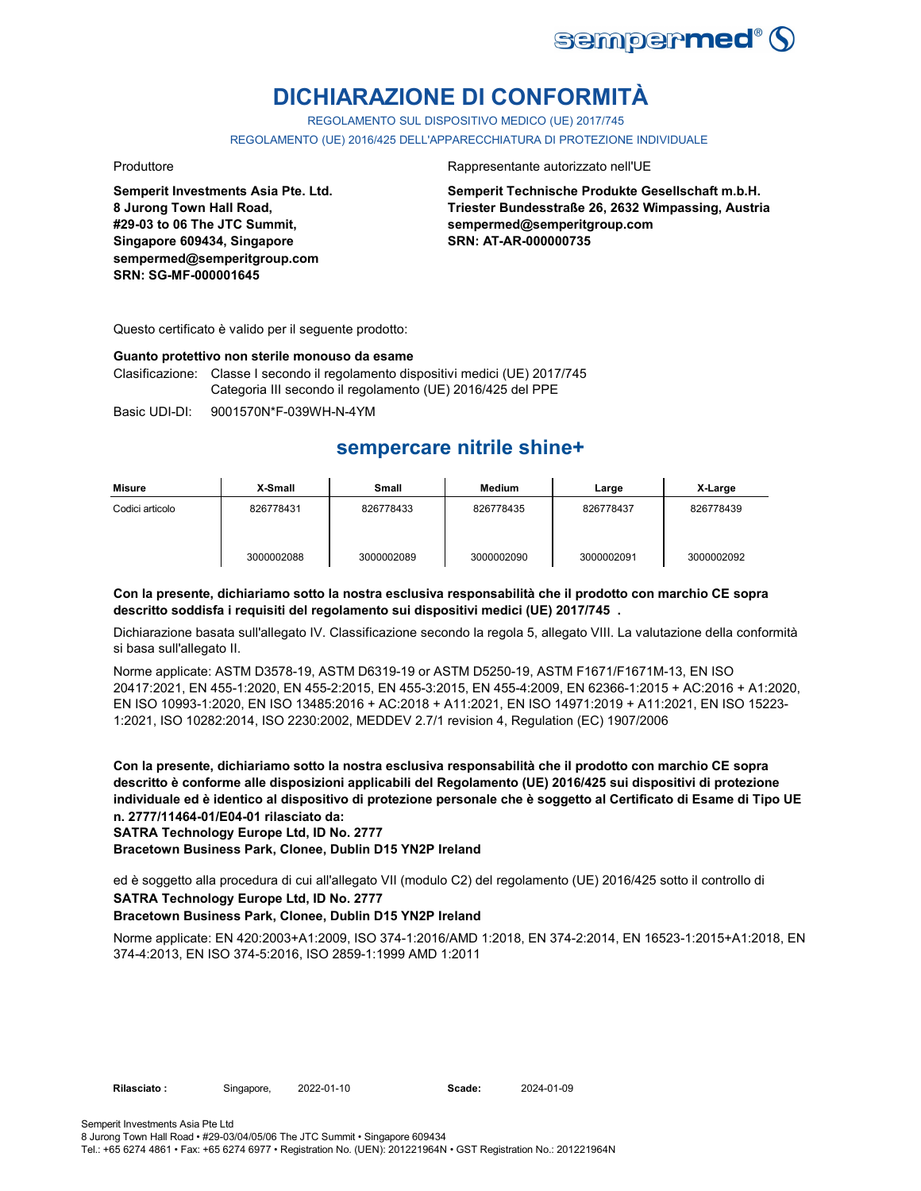

# **DICHIARAZIONE DI CONFORMITÀ**

REGOLAMENTO SUL DISPOSITIVO MEDICO (UE) 2017/745

REGOLAMENTO (UE) 2016/425 DELL'APPARECCHIATURA DI PROTEZIONE INDIVIDUALE

**Semperit Investments Asia Pte. Ltd. 8 Jurong Town Hall Road, #29-03 to 06 The JTC Summit, Singapore 609434, Singapore sempermed@semperitgroup.com SRN: SG-MF-000001645**

### Produttore **Rappresentante autorizzato nell'UE**

**Semperit Technische Produkte Gesellschaft m.b.H. Triester Bundesstraße 26, 2632 Wimpassing, Austria sempermed@semperitgroup.com SRN: AT-AR-000000735**

Questo certificato è valido per il seguente prodotto:

### **Guanto protettivo non sterile monouso da esame**

Clasificazione: Classe I secondo il regolamento dispositivi medici (UE) 2017/745 Categoria III secondo il regolamento (UE) 2016/425 del PPE

Basic UDI-DI: 9001570N\*F-039WH-N-4YM

## **sempercare nitrile shine+**

| Misure          | X-Small    | Small      | Medium     | Large      | X-Large    |
|-----------------|------------|------------|------------|------------|------------|
| Codici articolo | 826778431  | 826778433  | 826778435  | 826778437  | 826778439  |
|                 | 3000002088 | 3000002089 | 3000002090 | 3000002091 | 3000002092 |

## **Con la presente, dichiariamo sotto la nostra esclusiva responsabilità che il prodotto con marchio CE sopra descritto soddisfa i requisiti del regolamento sui dispositivi medici (UE) 2017/745 .**

Dichiarazione basata sull'allegato IV. Classificazione secondo la regola 5, allegato VIII. La valutazione della conformità si basa sull'allegato II.

Norme applicate: ASTM D3578-19, ASTM D6319-19 or ASTM D5250-19, ASTM F1671/F1671M-13, EN ISO 20417:2021, EN 455-1:2020, EN 455-2:2015, EN 455-3:2015, EN 455-4:2009, EN 62366-1:2015 + AC:2016 + A1:2020, EN ISO 10993-1:2020, EN ISO 13485:2016 + AC:2018 + A11:2021, EN ISO 14971:2019 + A11:2021, EN ISO 15223- 1:2021, ISO 10282:2014, ISO 2230:2002, MEDDEV 2.7/1 revision 4, Regulation (EC) 1907/2006

**Con la presente, dichiariamo sotto la nostra esclusiva responsabilità che il prodotto con marchio CE sopra descritto è conforme alle disposizioni applicabili del Regolamento (UE) 2016/425 sui dispositivi di protezione individuale ed è identico al dispositivo di protezione personale che è soggetto al Certificato di Esame di Tipo UE n. 2777/11464-01/E04-01 rilasciato da:**

**SATRA Technology Europe Ltd, ID No. 2777**

**Bracetown Business Park, Clonee, Dublin D15 YN2P Ireland**

**SATRA Technology Europe Ltd, ID No. 2777** ed è soggetto alla procedura di cui all'allegato VII (modulo C2) del regolamento (UE) 2016/425 sotto il controllo di

### **Bracetown Business Park, Clonee, Dublin D15 YN2P Ireland**

Norme applicate: EN 420:2003+A1:2009, ISO 374-1:2016/AMD 1:2018, EN 374-2:2014, EN 16523-1:2015+A1:2018, EN 374-4:2013, EN ISO 374-5:2016, ISO 2859-1:1999 AMD 1:2011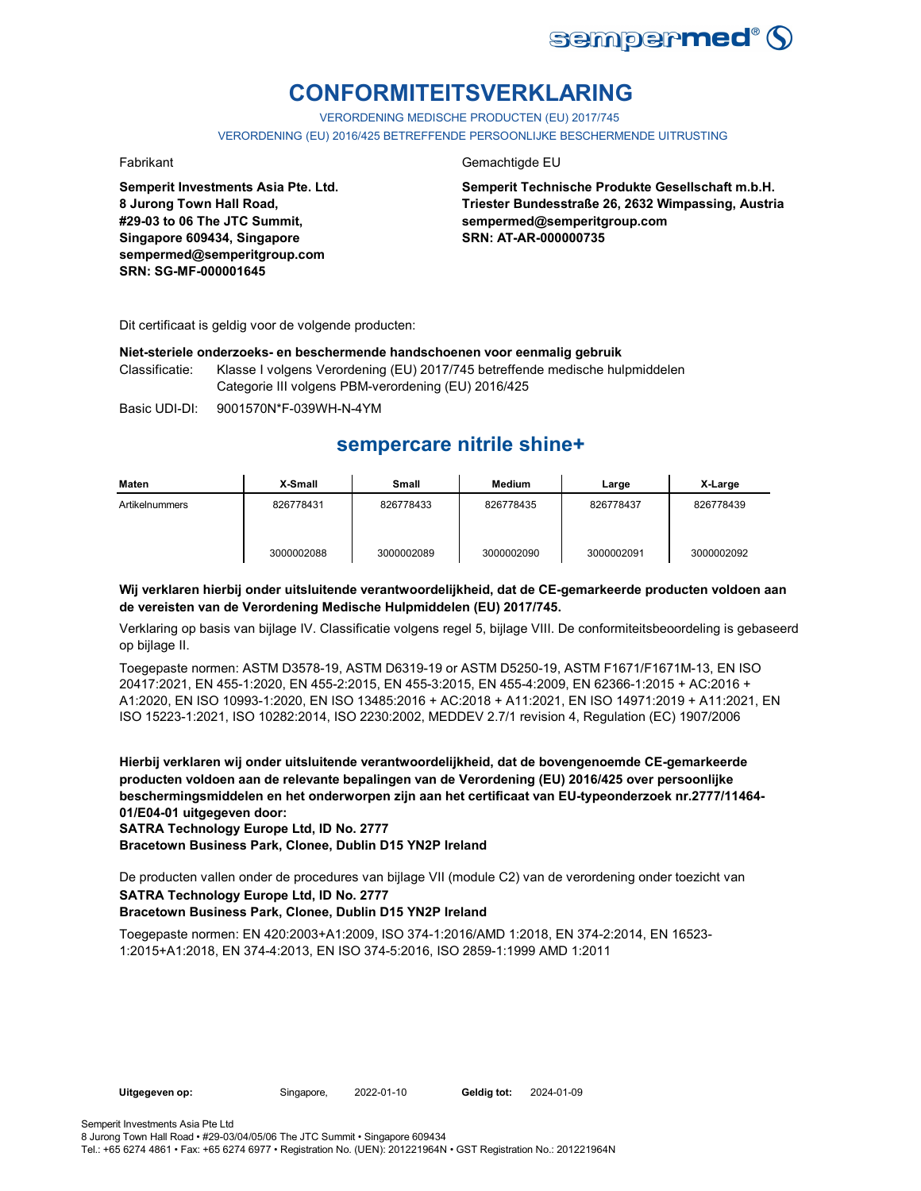

# **CONFORMITEITSVERKLARING**

VERORDENING MEDISCHE PRODUCTEN (EU) 2017/745 VERORDENING (EU) 2016/425 BETREFFENDE PERSOONLIJKE BESCHERMENDE UITRUSTING

**Semperit Investments Asia Pte. Ltd. 8 Jurong Town Hall Road, #29-03 to 06 The JTC Summit, Singapore 609434, Singapore sempermed@semperitgroup.com SRN: SG-MF-000001645**

## Fabrikant Gemachtigde EU

**Semperit Technische Produkte Gesellschaft m.b.H. Triester Bundesstraße 26, 2632 Wimpassing, Austria sempermed@semperitgroup.com SRN: AT-AR-000000735**

Dit certificaat is geldig voor de volgende producten:

### **Niet-steriele onderzoeks- en beschermende handschoenen voor eenmalig gebruik**

Classificatie: Klasse I volgens Verordening (EU) 2017/745 betreffende medische hulpmiddelen Categorie III volgens PBM-verordening (EU) 2016/425

Basic UDI-DI: 9001570N\*F-039WH-N-4YM 9001570N\*F-039WH-N

## **sempercare nitrile shine+**

| Maten          | X-Small    | Small      | <b>Medium</b> | Large      | X-Large    |
|----------------|------------|------------|---------------|------------|------------|
| Artikelnummers | 826778431  | 826778433  | 826778435     | 826778437  | 826778439  |
|                | 3000002088 | 3000002089 | 3000002090    | 3000002091 | 3000002092 |

## **Wij verklaren hierbij onder uitsluitende verantwoordelijkheid, dat de CE-gemarkeerde producten voldoen aan de vereisten van de Verordening Medische Hulpmiddelen (EU) 2017/745.**

Verklaring op basis van bijlage IV. Classificatie volgens regel 5, bijlage VIII. De conformiteitsbeoordeling is gebaseerd op bijlage II.

Toegepaste normen: ASTM D3578-19, ASTM D6319-19 or ASTM D5250-19, ASTM F1671/F1671M-13, EN ISO 20417:2021, EN 455-1:2020, EN 455-2:2015, EN 455-3:2015, EN 455-4:2009, EN 62366-1:2015 + AC:2016 + A1:2020, EN ISO 10993-1:2020, EN ISO 13485:2016 + AC:2018 + A11:2021, EN ISO 14971:2019 + A11:2021, EN ISO 15223-1:2021, ISO 10282:2014, ISO 2230:2002, MEDDEV 2.7/1 revision 4, Regulation (EC) 1907/2006

**Hierbij verklaren wij onder uitsluitende verantwoordelijkheid, dat de bovengenoemde CE-gemarkeerde producten voldoen aan de relevante bepalingen van de Verordening (EU) 2016/425 over persoonlijke beschermingsmiddelen en het onderworpen zijn aan het certificaat van EU-typeonderzoek nr.2777/11464- 01/E04-01 uitgegeven door:**

**SATRA Technology Europe Ltd, ID No. 2777**

**Bracetown Business Park, Clonee, Dublin D15 YN2P Ireland**

De producten vallen onder de procedures van bijlage VII (module C2) van de verordening onder toezicht van

## **SATRA Technology Europe Ltd, ID No. 2777**

## **Bracetown Business Park, Clonee, Dublin D15 YN2P Ireland**

Toegepaste normen: EN 420:2003+A1:2009, ISO 374-1:2016/AMD 1:2018, EN 374-2:2014, EN 16523- 1:2015+A1:2018, EN 374-4:2013, EN ISO 374-5:2016, ISO 2859-1:1999 AMD 1:2011

**Uitgegeven op:** Singapore, 2022-01-10 **Geldig tot:** 2024-01-09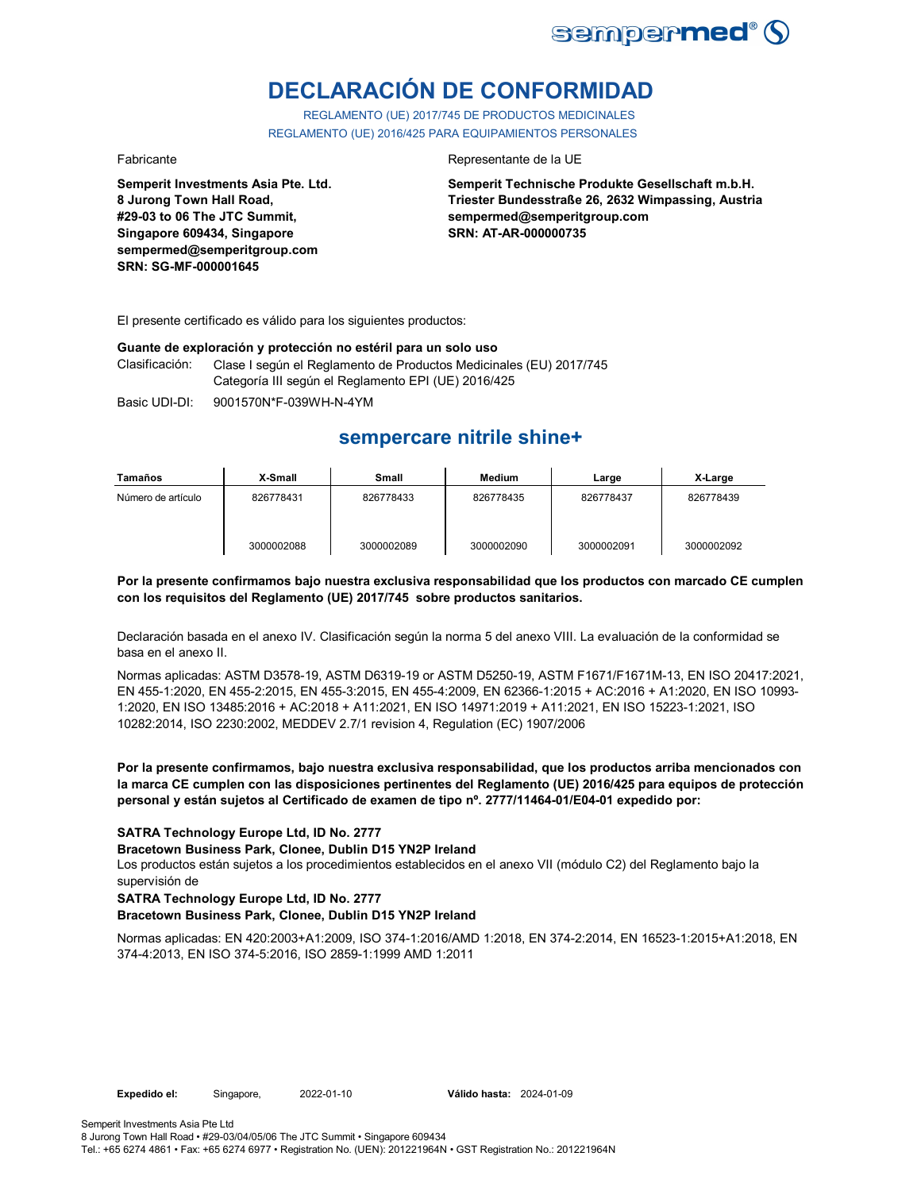

# **DECLARACIÓN DE CONFORMIDAD**

REGLAMENTO (UE) 2017/745 DE PRODUCTOS MEDICINALES REGLAMENTO (UE) 2016/425 PARA EQUIPAMIENTOS PERSONALES

**Semperit Investments Asia Pte. Ltd. 8 Jurong Town Hall Road, #29-03 to 06 The JTC Summit, Singapore 609434, Singapore sempermed@semperitgroup.com SRN: SG-MF-000001645**

### Fabricante **Representante de la UE**

**Semperit Technische Produkte Gesellschaft m.b.H. Triester Bundesstraße 26, 2632 Wimpassing, Austria sempermed@semperitgroup.com SRN: AT-AR-000000735**

El presente certificado es válido para los siguientes productos:

### **Guante de exploración y protección no estéril para un solo uso**

Clasificación: Clase I según el Reglamento de Productos Medicinales (EU) 2017/745 Categoría III según el Reglamento EPI (UE) 2016/425

Basic UDI-DI: 9001570N\*F-039WH-N-4YM

## **sempercare nitrile shine+**

| Tamaños            | X-Small    | Small      | Medium     | Large      | X-Large    |
|--------------------|------------|------------|------------|------------|------------|
| Número de artículo | 826778431  | 826778433  | 826778435  | 826778437  | 826778439  |
|                    | 3000002088 | 3000002089 | 3000002090 | 3000002091 | 3000002092 |

## **Por la presente confirmamos bajo nuestra exclusiva responsabilidad que los productos con marcado CE cumplen con los requisitos del Reglamento (UE) 2017/745 sobre productos sanitarios.**

Declaración basada en el anexo IV. Clasificación según la norma 5 del anexo VIII. La evaluación de la conformidad se basa en el anexo II.

Normas aplicadas: ASTM D3578-19, ASTM D6319-19 or ASTM D5250-19, ASTM F1671/F1671M-13, EN ISO 20417:2021, EN 455-1:2020, EN 455-2:2015, EN 455-3:2015, EN 455-4:2009, EN 62366-1:2015 + AC:2016 + A1:2020, EN ISO 10993- 1:2020, EN ISO 13485:2016 + AC:2018 + A11:2021, EN ISO 14971:2019 + A11:2021, EN ISO 15223-1:2021, ISO 10282:2014, ISO 2230:2002, MEDDEV 2.7/1 revision 4, Regulation (EC) 1907/2006

**Por la presente confirmamos, bajo nuestra exclusiva responsabilidad, que los productos arriba mencionados con la marca CE cumplen con las disposiciones pertinentes del Reglamento (UE) 2016/425 para equipos de protección personal y están sujetos al Certificado de examen de tipo nº. 2777/11464-01/E04-01 expedido por:**

### **SATRA Technology Europe Ltd, ID No. 2777**

**Bracetown Business Park, Clonee, Dublin D15 YN2P Ireland**

Los productos están sujetos a los procedimientos establecidos en el anexo VII (módulo C2) del Reglamento bajo la supervisión de

## **SATRA Technology Europe Ltd, ID No. 2777**

## **Bracetown Business Park, Clonee, Dublin D15 YN2P Ireland**

Normas aplicadas: EN 420:2003+A1:2009, ISO 374-1:2016/AMD 1:2018, EN 374-2:2014, EN 16523-1:2015+A1:2018, EN 374-4:2013, EN ISO 374-5:2016, ISO 2859-1:1999 AMD 1:2011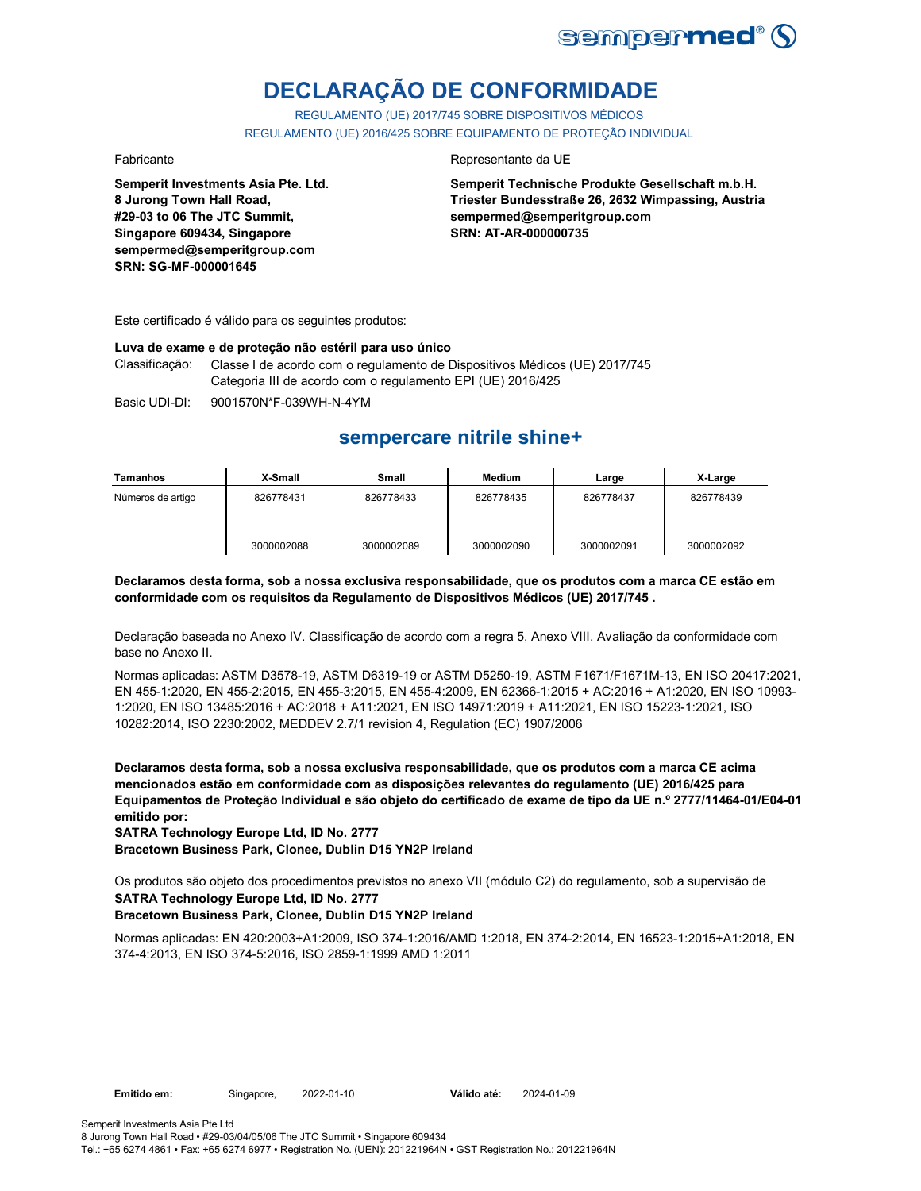

# **DECLARAÇÃO DE CONFORMIDADE**

REGULAMENTO (UE) 2017/745 SOBRE DISPOSITIVOS MÉDICOS REGULAMENTO (UE) 2016/425 SOBRE EQUIPAMENTO DE PROTEÇÃO INDIVIDUAL

**Semperit Investments Asia Pte. Ltd. 8 Jurong Town Hall Road, #29-03 to 06 The JTC Summit, Singapore 609434, Singapore sempermed@semperitgroup.com SRN: SG-MF-000001645**

## Fabricante da UE

**Semperit Technische Produkte Gesellschaft m.b.H. Triester Bundesstraße 26, 2632 Wimpassing, Austria sempermed@semperitgroup.com SRN: AT-AR-000000735**

Este certificado é válido para os seguintes produtos:

### **Luva de exame e de proteção não estéril para uso único**

Classificação: Classe I de acordo com o regulamento de Dispositivos Médicos (UE) 2017/745 Categoria III de acordo com o regulamento EPI (UE) 2016/425

Basic UDI-DI: 9001570N\*F-039WH-N-4YM

## **sempercare nitrile shine+**

| Tamanhos          | X-Small    | Small      | Medium     | Large      | X-Large    |
|-------------------|------------|------------|------------|------------|------------|
| Números de artigo | 826778431  | 826778433  | 826778435  | 826778437  | 826778439  |
|                   | 3000002088 | 3000002089 | 3000002090 | 3000002091 | 3000002092 |

## **Declaramos desta forma, sob a nossa exclusiva responsabilidade, que os produtos com a marca CE estão em conformidade com os requisitos da Regulamento de Dispositivos Médicos (UE) 2017/745 .**

Declaração baseada no Anexo IV. Classificação de acordo com a regra 5, Anexo VIII. Avaliação da conformidade com base no Anexo II.

Normas aplicadas: ASTM D3578-19, ASTM D6319-19 or ASTM D5250-19, ASTM F1671/F1671M-13, EN ISO 20417:2021, EN 455-1:2020, EN 455-2:2015, EN 455-3:2015, EN 455-4:2009, EN 62366-1:2015 + AC:2016 + A1:2020, EN ISO 10993- 1:2020, EN ISO 13485:2016 + AC:2018 + A11:2021, EN ISO 14971:2019 + A11:2021, EN ISO 15223-1:2021, ISO 10282:2014, ISO 2230:2002, MEDDEV 2.7/1 revision 4, Regulation (EC) 1907/2006

**Declaramos desta forma, sob a nossa exclusiva responsabilidade, que os produtos com a marca CE acima mencionados estão em conformidade com as disposições relevantes do regulamento (UE) 2016/425 para Equipamentos de Proteção Individual e são objeto do certificado de exame de tipo da UE n.º 2777/11464-01/E04-01 emitido por:**

**SATRA Technology Europe Ltd, ID No. 2777**

**Bracetown Business Park, Clonee, Dublin D15 YN2P Ireland**

Os produtos são objeto dos procedimentos previstos no anexo VII (módulo C2) do regulamento, sob a supervisão de

## **SATRA Technology Europe Ltd, ID No. 2777**

## **Bracetown Business Park, Clonee, Dublin D15 YN2P Ireland**

Normas aplicadas: EN 420:2003+A1:2009, ISO 374-1:2016/AMD 1:2018, EN 374-2:2014, EN 16523-1:2015+A1:2018, EN 374-4:2013, EN ISO 374-5:2016, ISO 2859-1:1999 AMD 1:2011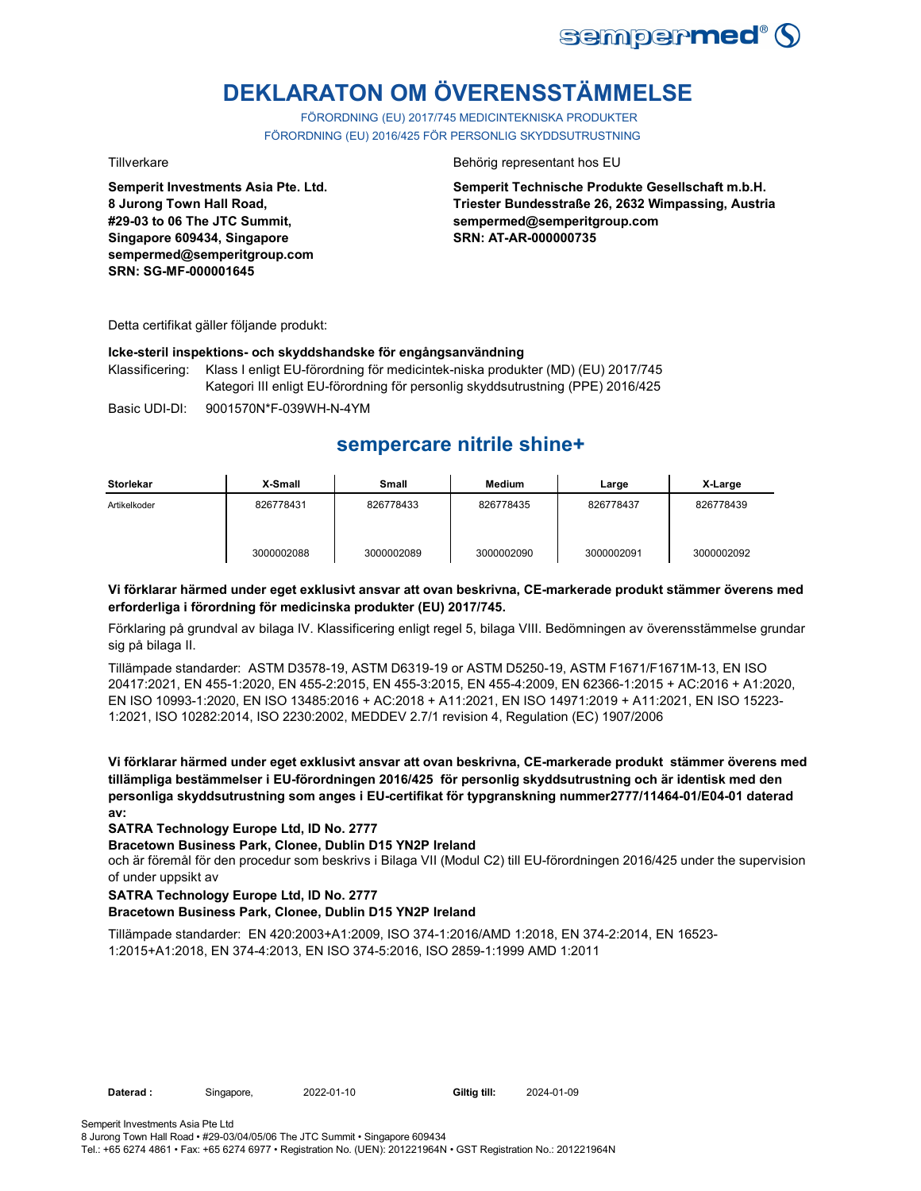

# **DEKLARATON OM ÖVERENSSTÄMMELSE**

FÖRORDNING (EU) 2017/745 MEDICINTEKNISKA PRODUKTER FÖRORDNING (EU) 2016/425 FÖR PERSONLIG SKYDDSUTRUSTNING

**Semperit Investments Asia Pte. Ltd. 8 Jurong Town Hall Road, #29-03 to 06 The JTC Summit, Singapore 609434, Singapore sempermed@semperitgroup.com SRN: SG-MF-000001645**

Tillverkare Behörig representant hos EU

**Semperit Technische Produkte Gesellschaft m.b.H. Triester Bundesstraße 26, 2632 Wimpassing, Austria sempermed@semperitgroup.com SRN: AT-AR-000000735**

Detta certifikat gäller följande produkt:

## **Icke-steril inspektions- och skyddshandske för engångsanvändning**

Klassificering: Klass I enligt EU-förordning för medicintek-niska produkter (MD) (EU) 2017/745 Kategori III enligt EU-förordning för personlig skyddsutrustning (PPE) 2016/425

Basic UDI-DI: 9001570N\*F-039WH-N-4YM

## **sempercare nitrile shine+**

| <b>Storlekar</b> | X-Small    | Small      | <b>Medium</b> | Large      | X-Large    |
|------------------|------------|------------|---------------|------------|------------|
| Artikelkoder     | 826778431  | 826778433  | 826778435     | 826778437  | 826778439  |
|                  | 3000002088 | 3000002089 | 3000002090    | 3000002091 | 3000002092 |

## **Vi förklarar härmed under eget exklusivt ansvar att ovan beskrivna, CE-markerade produkt stämmer överens med erforderliga i förordning för medicinska produkter (EU) 2017/745.**

Förklaring på grundval av bilaga IV. Klassificering enligt regel 5, bilaga VIII. Bedömningen av överensstämmelse grundar sig på bilaga II.

Tillämpade standarder: ASTM D3578-19, ASTM D6319-19 or ASTM D5250-19, ASTM F1671/F1671M-13, EN ISO 20417:2021, EN 455-1:2020, EN 455-2:2015, EN 455-3:2015, EN 455-4:2009, EN 62366-1:2015 + AC:2016 + A1:2020, EN ISO 10993-1:2020, EN ISO 13485:2016 + AC:2018 + A11:2021, EN ISO 14971:2019 + A11:2021, EN ISO 15223- 1:2021, ISO 10282:2014, ISO 2230:2002, MEDDEV 2.7/1 revision 4, Regulation (EC) 1907/2006

**Vi förklarar härmed under eget exklusivt ansvar att ovan beskrivna, CE-markerade produkt stämmer överens med tillämpliga bestämmelser i EU-förordningen 2016/425 för personlig skyddsutrustning och är identisk med den personliga skyddsutrustning som anges i EU-certifikat för typgranskning nummer2777/11464-01/E04-01 daterad av:**

## **SATRA Technology Europe Ltd, ID No. 2777**

### **Bracetown Business Park, Clonee, Dublin D15 YN2P Ireland**

och är föremål för den procedur som beskrivs i Bilaga VII (Modul C2) till EU-förordningen 2016/425 under the supervision of under uppsikt av

## **SATRA Technology Europe Ltd, ID No. 2777**

## **Bracetown Business Park, Clonee, Dublin D15 YN2P Ireland**

Tillämpade standarder: EN 420:2003+A1:2009, ISO 374-1:2016/AMD 1:2018, EN 374-2:2014, EN 16523- 1:2015+A1:2018, EN 374-4:2013, EN ISO 374-5:2016, ISO 2859-1:1999 AMD 1:2011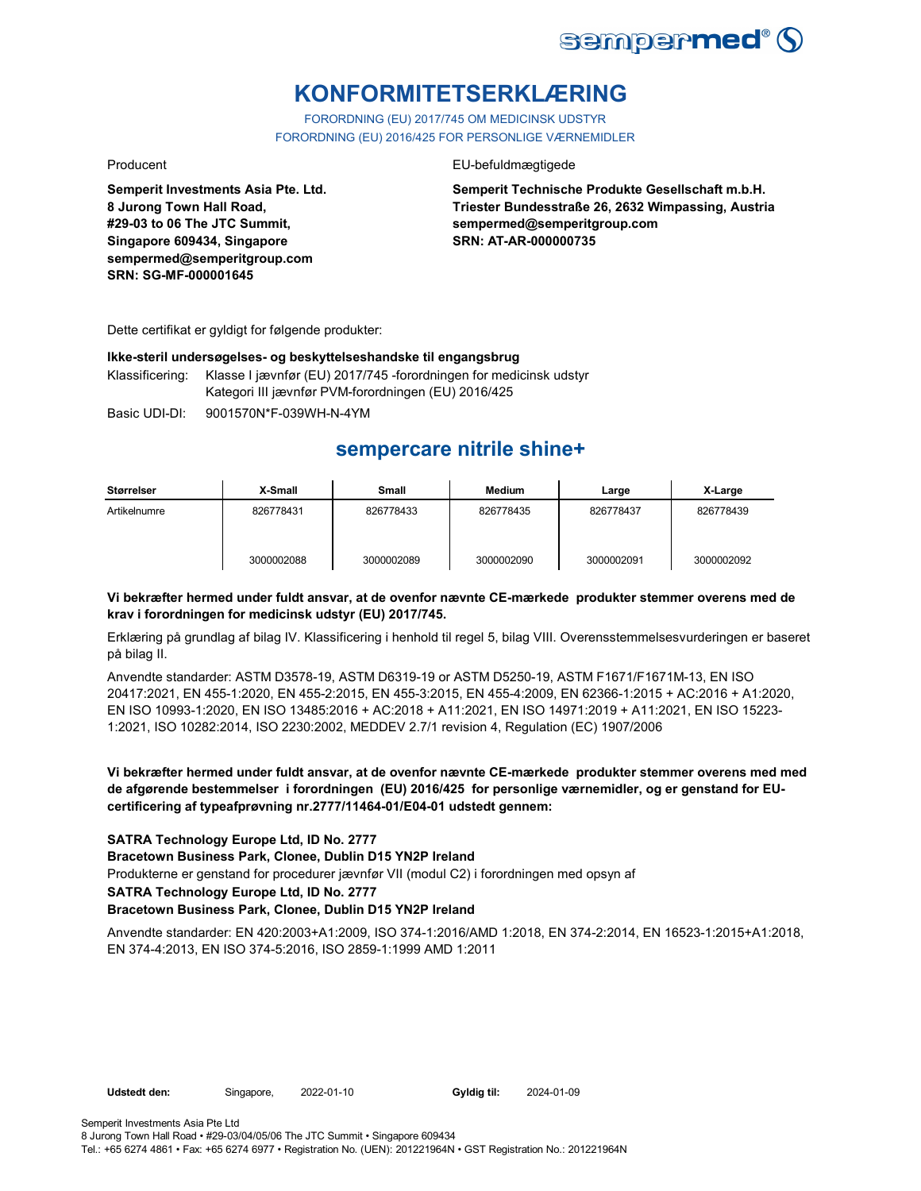

## **KONFORMITETSERKLÆRING**

FORORDNING (EU) 2017/745 OM MEDICINSK UDSTYR FORORDNING (EU) 2016/425 FOR PERSONLIGE VÆRNEMIDLER

Producent **EU-befuldmægtigede** 

**Semperit Technische Produkte Gesellschaft m.b.H. Triester Bundesstraße 26, 2632 Wimpassing, Austria sempermed@semperitgroup.com SRN: AT-AR-000000735**

Dette certifikat er gyldigt for følgende produkter:

**Semperit Investments Asia Pte. Ltd.**

**8 Jurong Town Hall Road, #29-03 to 06 The JTC Summit, Singapore 609434, Singapore sempermed@semperitgroup.com**

**SRN: SG-MF-000001645**

## **Ikke-steril undersøgelses- og beskyttelseshandske til engangsbrug**

Klassificering: Klasse I jævnfør (EU) 2017/745 -forordningen for medicinsk udstyr Kategori III jævnfør PVM-forordningen (EU) 2016/425

Basic UDI-DI: 9001570N\*F-039WH-N-4YM

## **sempercare nitrile shine+**

| Størrelser   | X-Small    | Small      | <b>Medium</b> | Large      | X-Large    |
|--------------|------------|------------|---------------|------------|------------|
| Artikelnumre | 826778431  | 826778433  | 826778435     | 826778437  | 826778439  |
|              | 3000002088 | 3000002089 | 3000002090    | 3000002091 | 3000002092 |

## **Vi bekræfter hermed under fuldt ansvar, at de ovenfor nævnte CE-mærkede produkter stemmer overens med de krav i forordningen for medicinsk udstyr (EU) 2017/745.**

Erklæring på grundlag af bilag IV. Klassificering i henhold til regel 5, bilag VIII. Overensstemmelsesvurderingen er baseret på bilag II.

Anvendte standarder: ASTM D3578-19, ASTM D6319-19 or ASTM D5250-19, ASTM F1671/F1671M-13, EN ISO 20417:2021, EN 455-1:2020, EN 455-2:2015, EN 455-3:2015, EN 455-4:2009, EN 62366-1:2015 + AC:2016 + A1:2020, EN ISO 10993-1:2020, EN ISO 13485:2016 + AC:2018 + A11:2021, EN ISO 14971:2019 + A11:2021, EN ISO 15223- 1:2021, ISO 10282:2014, ISO 2230:2002, MEDDEV 2.7/1 revision 4, Regulation (EC) 1907/2006

## **Vi bekræfter hermed under fuldt ansvar, at de ovenfor nævnte CE-mærkede produkter stemmer overens med med de afgørende bestemmelser i forordningen (EU) 2016/425 for personlige værnemidler, og er genstand for EUcertificering af typeafprøvning nr.2777/11464-01/E04-01 udstedt gennem:**

## **SATRA Technology Europe Ltd, ID No. 2777**

**Bracetown Business Park, Clonee, Dublin D15 YN2P Ireland**

Produkterne er genstand for procedurer jævnfør VII (modul C2) i forordningen med opsyn af

**SATRA Technology Europe Ltd, ID No. 2777**

### **Bracetown Business Park, Clonee, Dublin D15 YN2P Ireland**

Anvendte standarder: EN 420:2003+A1:2009, ISO 374-1:2016/AMD 1:2018, EN 374-2:2014, EN 16523-1:2015+A1:2018, EN 374-4:2013, EN ISO 374-5:2016, ISO 2859-1:1999 AMD 1:2011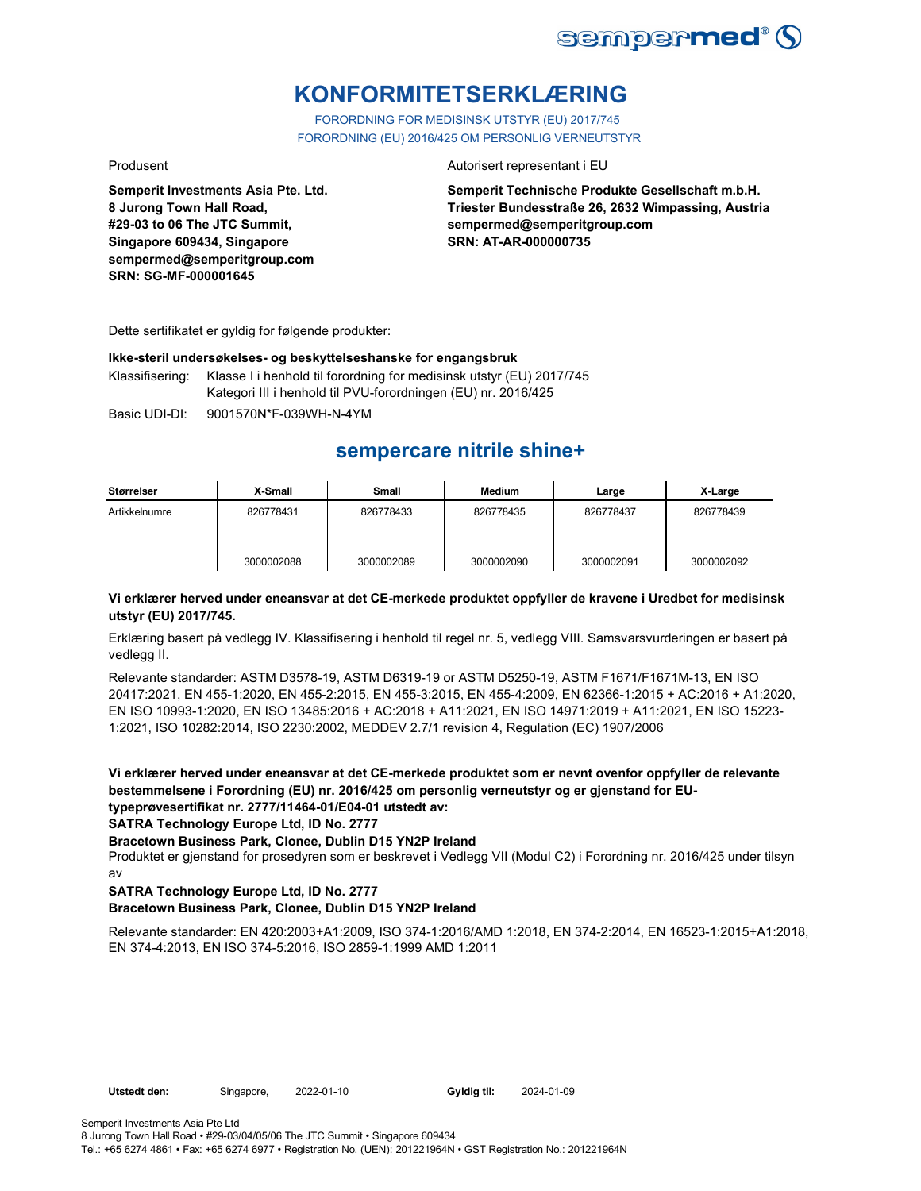

## **KONFORMITETSERKLÆRING**

FORORDNING FOR MEDISINSK UTSTYR (EU) 2017/745 FORORDNING (EU) 2016/425 OM PERSONLIG VERNEUTSTYR

**Semperit Investments Asia Pte. Ltd. 8 Jurong Town Hall Road, #29-03 to 06 The JTC Summit, Singapore 609434, Singapore sempermed@semperitgroup.com SRN: SG-MF-000001645**

### Produsent **Autorisert representant i EU**

**Semperit Technische Produkte Gesellschaft m.b.H. Triester Bundesstraße 26, 2632 Wimpassing, Austria sempermed@semperitgroup.com SRN: AT-AR-000000735**

Dette sertifikatet er gyldig for følgende produkter:

## **Ikke-steril undersøkelses- og beskyttelseshanske for engangsbruk**

Klassifisering: Klasse I i henhold til forordning for medisinsk utstyr (EU) 2017/745 Kategori III i henhold til PVU-forordningen (EU) nr. 2016/425

Basic UDI-DI: 9001570N\*F-039WH-N-4YM

## **sempercare nitrile shine+**

| Størrelser    | X-Small    | Small      | <b>Medium</b> | Large      | X-Large    |
|---------------|------------|------------|---------------|------------|------------|
| Artikkelnumre | 826778431  | 826778433  | 826778435     | 826778437  | 826778439  |
|               | 3000002088 | 3000002089 | 3000002090    | 3000002091 | 3000002092 |

## **Vi erklærer herved under eneansvar at det CE-merkede produktet oppfyller de kravene i Uredbet for medisinsk utstyr (EU) 2017/745.**

Erklæring basert på vedlegg IV. Klassifisering i henhold til regel nr. 5, vedlegg VIII. Samsvarsvurderingen er basert på vedlegg II.

Relevante standarder: ASTM D3578-19, ASTM D6319-19 or ASTM D5250-19, ASTM F1671/F1671M-13, EN ISO 20417:2021, EN 455-1:2020, EN 455-2:2015, EN 455-3:2015, EN 455-4:2009, EN 62366-1:2015 + AC:2016 + A1:2020, EN ISO 10993-1:2020, EN ISO 13485:2016 + AC:2018 + A11:2021, EN ISO 14971:2019 + A11:2021, EN ISO 15223- 1:2021, ISO 10282:2014, ISO 2230:2002, MEDDEV 2.7/1 revision 4, Regulation (EC) 1907/2006

**Vi erklærer herved under eneansvar at det CE-merkede produktet som er nevnt ovenfor oppfyller de relevante bestemmelsene i Forordning (EU) nr. 2016/425 om personlig verneutstyr og er gjenstand for EUtypeprøvesertifikat nr. 2777/11464-01/E04-01 utstedt av:**

**SATRA Technology Europe Ltd, ID No. 2777**

### **Bracetown Business Park, Clonee, Dublin D15 YN2P Ireland**

Produktet er gjenstand for prosedyren som er beskrevet i Vedlegg VII (Modul C2) i Forordning nr. 2016/425 under tilsyn av

## **SATRA Technology Europe Ltd, ID No. 2777**

## **Bracetown Business Park, Clonee, Dublin D15 YN2P Ireland**

Relevante standarder: EN 420:2003+A1:2009, ISO 374-1:2016/AMD 1:2018, EN 374-2:2014, EN 16523-1:2015+A1:2018, EN 374-4:2013, EN ISO 374-5:2016, ISO 2859-1:1999 AMD 1:2011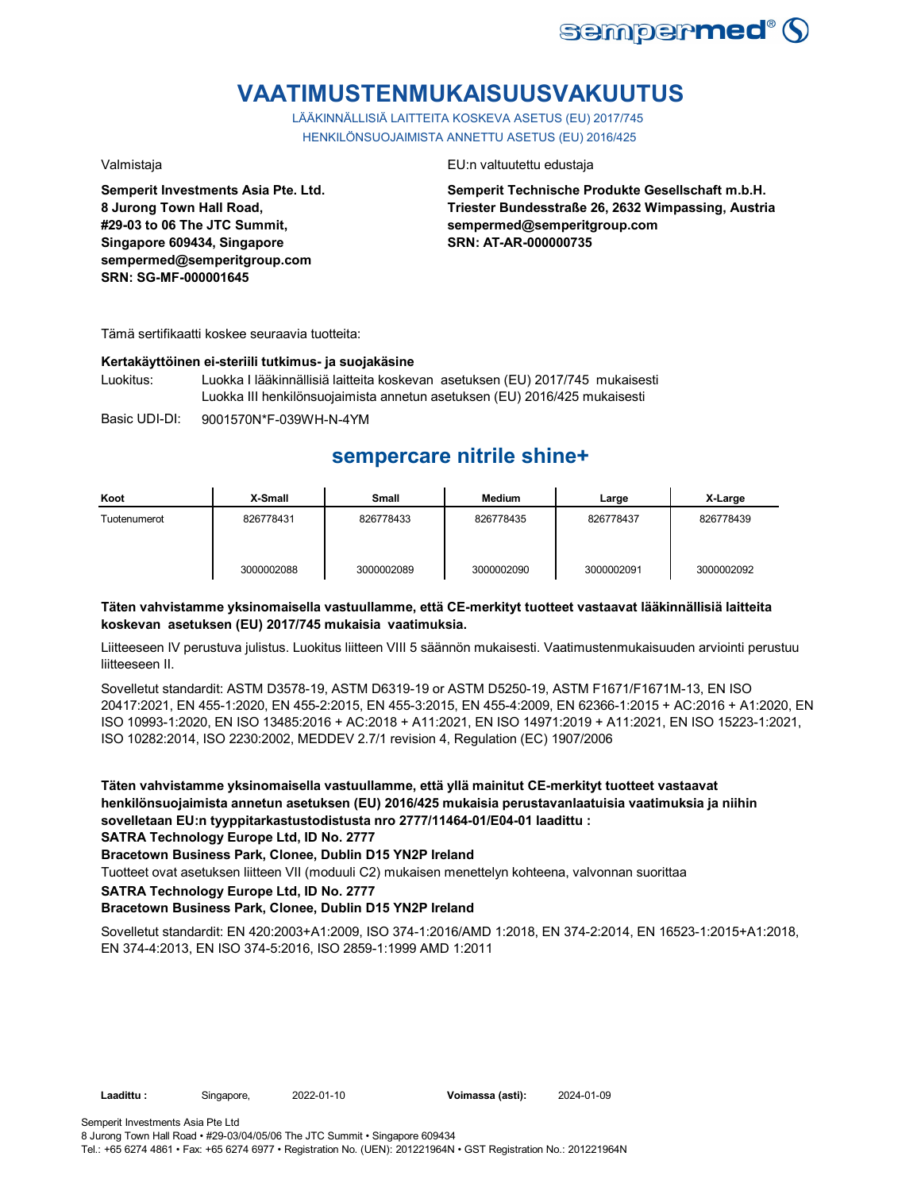

# **VAATIMUSTENMUKAISUUSVAKUUTUS**

LÄÄKINNÄLLISIÄ LAITTEITA KOSKEVA ASETUS (EU) 2017/745 HENKILÖNSUOJAIMISTA ANNETTU ASETUS (EU) 2016/425

**Semperit Investments Asia Pte. Ltd. 8 Jurong Town Hall Road, #29-03 to 06 The JTC Summit, Singapore 609434, Singapore sempermed@semperitgroup.com SRN: SG-MF-000001645**

## Valmistaja EU:n valtuutettu edustaja

**Semperit Technische Produkte Gesellschaft m.b.H. Triester Bundesstraße 26, 2632 Wimpassing, Austria sempermed@semperitgroup.com SRN: AT-AR-000000735**

Tämä sertifikaatti koskee seuraavia tuotteita:

## **Kertakäyttöinen ei-steriili tutkimus- ja suojakäsine**

Luokitus: Luokka I lääkinnällisiä laitteita koskevan asetuksen (EU) 2017/745 mukaisesti Luokka III henkilönsuojaimista annetun asetuksen (EU) 2016/425 mukaisesti

Basic UDI-DI: 9001570N\*F-039WH-N-4YM

## **sempercare nitrile shine+**

| Koot         | X-Small    | Small      | <b>Medium</b> | Large      | X-Large    |
|--------------|------------|------------|---------------|------------|------------|
| Tuotenumerot | 826778431  | 826778433  | 826778435     | 826778437  | 826778439  |
|              | 3000002088 | 3000002089 | 3000002090    | 3000002091 | 3000002092 |

## **Täten vahvistamme yksinomaisella vastuullamme, että CE-merkityt tuotteet vastaavat lääkinnällisiä laitteita koskevan asetuksen (EU) 2017/745 mukaisia vaatimuksia.**

Liitteeseen IV perustuva julistus. Luokitus liitteen VIII 5 säännön mukaisesti. Vaatimustenmukaisuuden arviointi perustuu liitteeseen II.

Sovelletut standardit: ASTM D3578-19, ASTM D6319-19 or ASTM D5250-19, ASTM F1671/F1671M-13, EN ISO 20417:2021, EN 455-1:2020, EN 455-2:2015, EN 455-3:2015, EN 455-4:2009, EN 62366-1:2015 + AC:2016 + A1:2020, EN ISO 10993-1:2020, EN ISO 13485:2016 + AC:2018 + A11:2021, EN ISO 14971:2019 + A11:2021, EN ISO 15223-1:2021, ISO 10282:2014, ISO 2230:2002, MEDDEV 2.7/1 revision 4, Regulation (EC) 1907/2006

**Täten vahvistamme yksinomaisella vastuullamme, että yllä mainitut CE-merkityt tuotteet vastaavat henkilönsuojaimista annetun asetuksen (EU) 2016/425 mukaisia perustavanlaatuisia vaatimuksia ja niihin sovelletaan EU:n tyyppitarkastustodistusta nro 2777/11464-01/E04-01 laadittu :**

**SATRA Technology Europe Ltd, ID No. 2777**

**Bracetown Business Park, Clonee, Dublin D15 YN2P Ireland**

Tuotteet ovat asetuksen liitteen VII (moduuli C2) mukaisen menettelyn kohteena, valvonnan suorittaa

**SATRA Technology Europe Ltd, ID No. 2777**

## **Bracetown Business Park, Clonee, Dublin D15 YN2P Ireland**

Sovelletut standardit: EN 420:2003+A1:2009, ISO 374-1:2016/AMD 1:2018, EN 374-2:2014, EN 16523-1:2015+A1:2018, EN 374-4:2013, EN ISO 374-5:2016, ISO 2859-1:1999 AMD 1:2011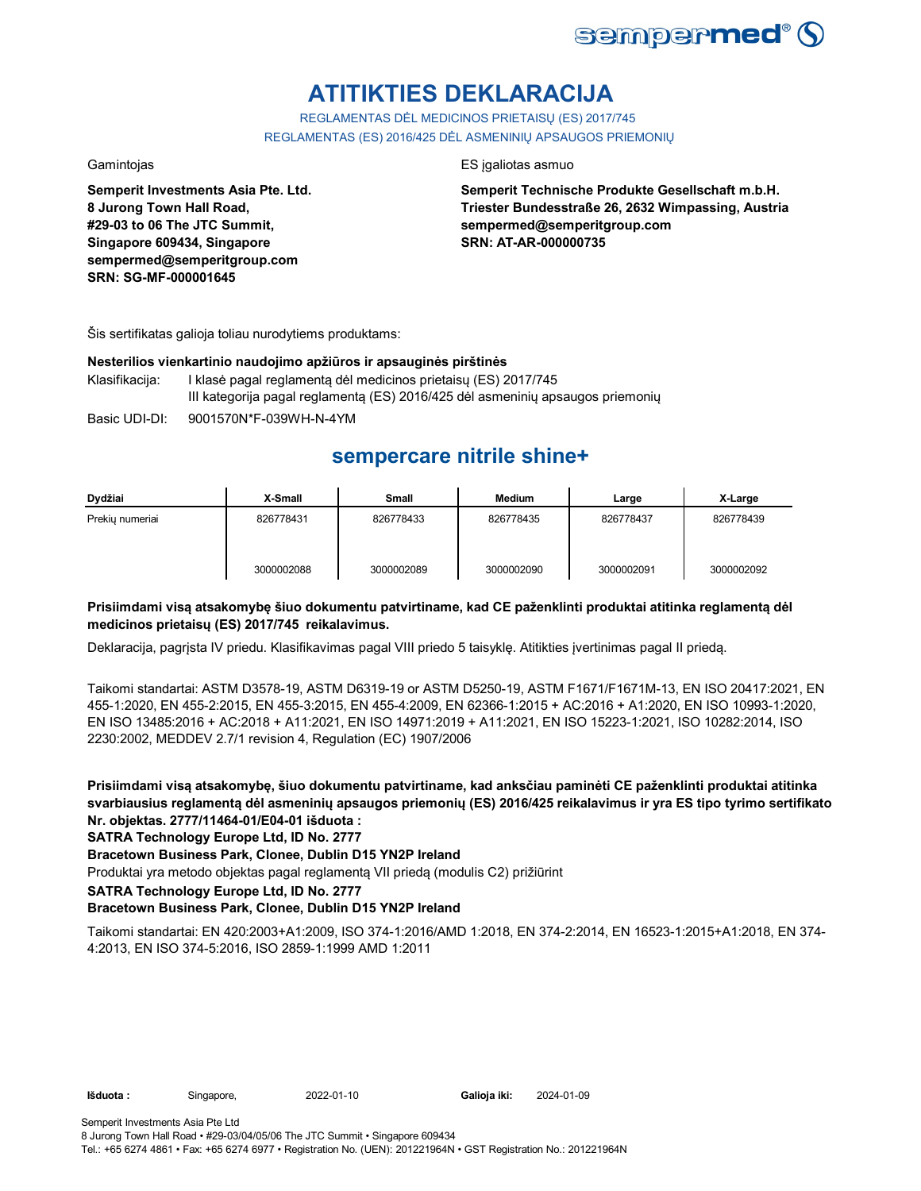

# **ATITIKTIES DEKLARACIJA**

REGLAMENTAS DĖL MEDICINOS PRIETAISŲ (ES) 2017/745 REGLAMENTAS (ES) 2016/425 DĖL ASMENINIŲ APSAUGOS PRIEMONIŲ

**Semperit Investments Asia Pte. Ltd. 8 Jurong Town Hall Road, #29-03 to 06 The JTC Summit, Singapore 609434, Singapore sempermed@semperitgroup.com SRN: SG-MF-000001645**

## Gamintojas ES įgaliotas asmuo

**Semperit Technische Produkte Gesellschaft m.b.H. Triester Bundesstraße 26, 2632 Wimpassing, Austria sempermed@semperitgroup.com SRN: AT-AR-000000735**

Šis sertifikatas galioja toliau nurodytiems produktams:

## **Nesterilios vienkartinio naudojimo apžiūros ir apsauginės pirštinės**

- Klasifikacija: I klasė pagal reglamentą dėl medicinos prietaisų (ES) 2017/745 III kategorija pagal reglamentą (ES) 2016/425 dėl asmeninių apsaugos priemonių
- Basic UDI-DI: 9001570N\*F-039WH-N-4YM

## **sempercare nitrile shine+**

| Dydžiai         | X-Small    | <b>Small</b> | <b>Medium</b> | Large      | X-Large    |
|-----------------|------------|--------------|---------------|------------|------------|
| Prekiu numeriai | 826778431  | 826778433    | 826778435     | 826778437  | 826778439  |
|                 | 3000002088 | 3000002089   | 3000002090    | 3000002091 | 3000002092 |

## **Prisiimdami visą atsakomybę šiuo dokumentu patvirtiname, kad CE paženklinti produktai atitinka reglamentą dėl medicinos prietaisų (ES) 2017/745 reikalavimus.**

Deklaracija, pagrįsta IV priedu. Klasifikavimas pagal VIII priedo 5 taisyklę. Atitikties įvertinimas pagal II priedą.

Taikomi standartai: ASTM D3578-19, ASTM D6319-19 or ASTM D5250-19, ASTM F1671/F1671M-13, EN ISO 20417:2021, EN 455-1:2020, EN 455-2:2015, EN 455-3:2015, EN 455-4:2009, EN 62366-1:2015 + AC:2016 + A1:2020, EN ISO 10993-1:2020, EN ISO 13485:2016 + AC:2018 + A11:2021, EN ISO 14971:2019 + A11:2021, EN ISO 15223-1:2021, ISO 10282:2014, ISO 2230:2002, MEDDEV 2.7/1 revision 4, Regulation (EC) 1907/2006

**Prisiimdami visą atsakomybę, šiuo dokumentu patvirtiname, kad anksčiau paminėti CE paženklinti produktai atitinka svarbiausius reglamentą dėl asmeninių apsaugos priemonių (ES) 2016/425 reikalavimus ir yra ES tipo tyrimo sertifikato Nr. objektas. 2777/11464-01/E04-01 išduota :**

## **SATRA Technology Europe Ltd, ID No. 2777**

## **Bracetown Business Park, Clonee, Dublin D15 YN2P Ireland**

Produktai yra metodo objektas pagal reglamentą VII priedą (modulis C2) prižiūrint

**SATRA Technology Europe Ltd, ID No. 2777**

## **Bracetown Business Park, Clonee, Dublin D15 YN2P Ireland**

Taikomi standartai: EN 420:2003+A1:2009, ISO 374-1:2016/AMD 1:2018, EN 374-2:2014, EN 16523-1:2015+A1:2018, EN 374- 4:2013, EN ISO 374-5:2016, ISO 2859-1:1999 AMD 1:2011

**Išduota :** Singapore, 2022-01-10 **Galioja iki:** 2024-01-09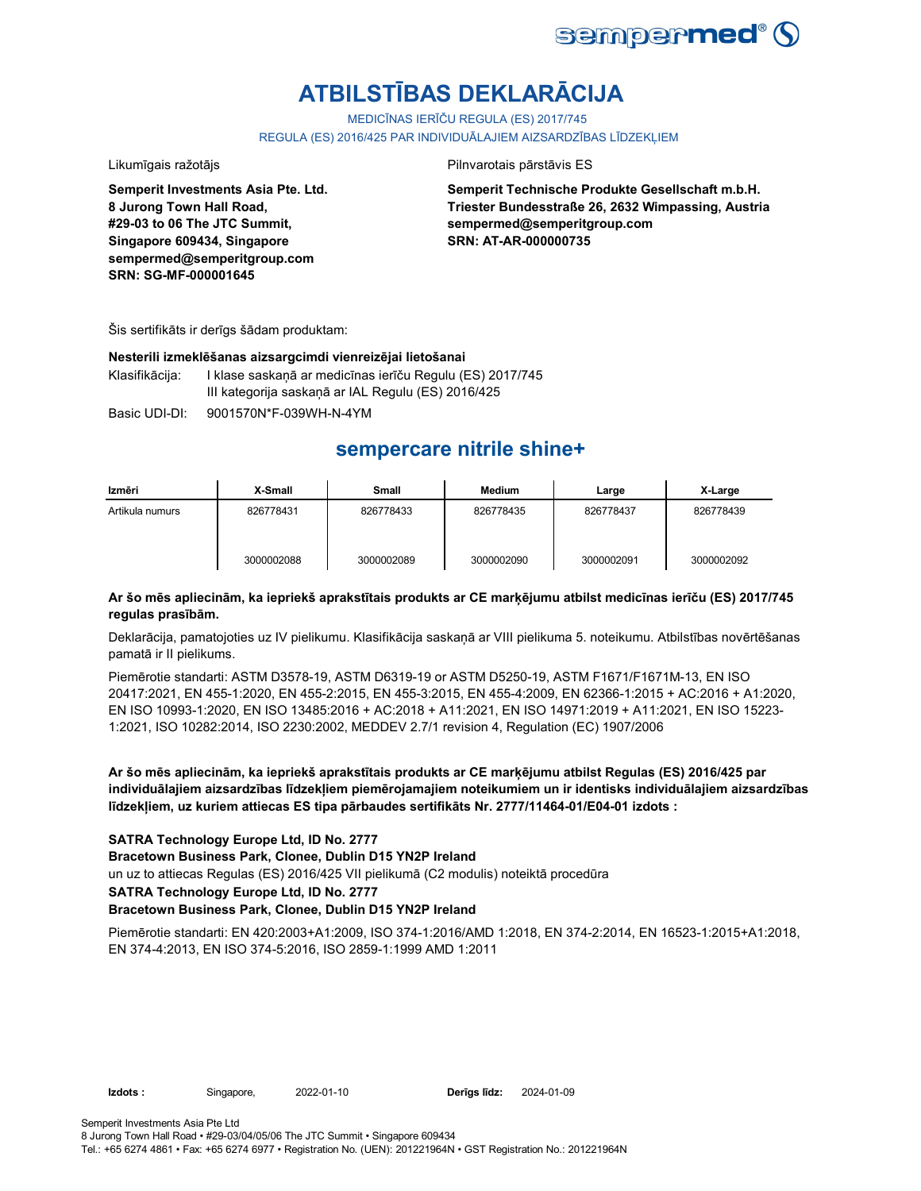

# **ATBILSTĪBAS DEKLARĀCIJA**

MEDICĪNAS IERĪČU REGULA (ES) 2017/745

REGULA (ES) 2016/425 PAR INDIVIDUĀLAJIEM AIZSARDZĪBAS LĪDZEKLIEM

## Likumīgais ražotājs **Pilnvarotais pārstāvis ES**

**Semperit Investments Asia Pte. Ltd. 8 Jurong Town Hall Road, #29-03 to 06 The JTC Summit, Singapore 609434, Singapore sempermed@semperitgroup.com SRN: SG-MF-000001645**

**Semperit Technische Produkte Gesellschaft m.b.H. Triester Bundesstraße 26, 2632 Wimpassing, Austria sempermed@semperitgroup.com SRN: AT-AR-000000735**

Šis sertifikāts ir derīgs šādam produktam:

## **Nesterili izmeklēšanas aizsargcimdi vienreizējai lietošanai**

Klasifikācija: I klase saskaņā ar medicīnas ierīču Regulu (ES) 2017/745 III kategorija saskaņā ar IAL Regulu (ES) 2016/425

Basic UDI-DI: 9001570N\*F-039WH-N-4YM

## **sempercare nitrile shine+**

| Izmēri          | X-Small    | Small      | Medium     | Large      | X-Large    |
|-----------------|------------|------------|------------|------------|------------|
| Artikula numurs | 826778431  | 826778433  | 826778435  | 826778437  | 826778439  |
|                 | 3000002088 | 3000002089 | 3000002090 | 3000002091 | 3000002092 |

## **Ar šo mēs apliecinām, ka iepriekš aprakstītais produkts ar CE marķējumu atbilst medicīnas ierīču (ES) 2017/745 regulas prasībām.**

Deklarācija, pamatojoties uz IV pielikumu. Klasifikācija saskaņā ar VIII pielikuma 5. noteikumu. Atbilstības novērtēšanas pamatā ir II pielikums.

Piemērotie standarti: ASTM D3578-19, ASTM D6319-19 or ASTM D5250-19, ASTM F1671/F1671M-13, EN ISO 20417:2021, EN 455-1:2020, EN 455-2:2015, EN 455-3:2015, EN 455-4:2009, EN 62366-1:2015 + AC:2016 + A1:2020, EN ISO 10993-1:2020, EN ISO 13485:2016 + AC:2018 + A11:2021, EN ISO 14971:2019 + A11:2021, EN ISO 15223- 1:2021, ISO 10282:2014, ISO 2230:2002, MEDDEV 2.7/1 revision 4, Regulation (EC) 1907/2006

**Ar šo mēs apliecinām, ka iepriekš aprakstītais produkts ar CE marķējumu atbilst Regulas (ES) 2016/425 par individuālajiem aizsardzības līdzekļiem piemērojamajiem noteikumiem un ir identisks individuālajiem aizsardzības līdzekļiem, uz kuriem attiecas ES tipa pārbaudes sertifikāts Nr. 2777/11464-01/E04-01 izdots :**

## **SATRA Technology Europe Ltd, ID No. 2777**

**Bracetown Business Park, Clonee, Dublin D15 YN2P Ireland**

un uz to attiecas Regulas (ES) 2016/425 VII pielikumā (C2 modulis) noteiktā procedūra

**SATRA Technology Europe Ltd, ID No. 2777**

## **Bracetown Business Park, Clonee, Dublin D15 YN2P Ireland**

Piemērotie standarti: EN 420:2003+A1:2009, ISO 374-1:2016/AMD 1:2018, EN 374-2:2014, EN 16523-1:2015+A1:2018, EN 374-4:2013, EN ISO 374-5:2016, ISO 2859-1:1999 AMD 1:2011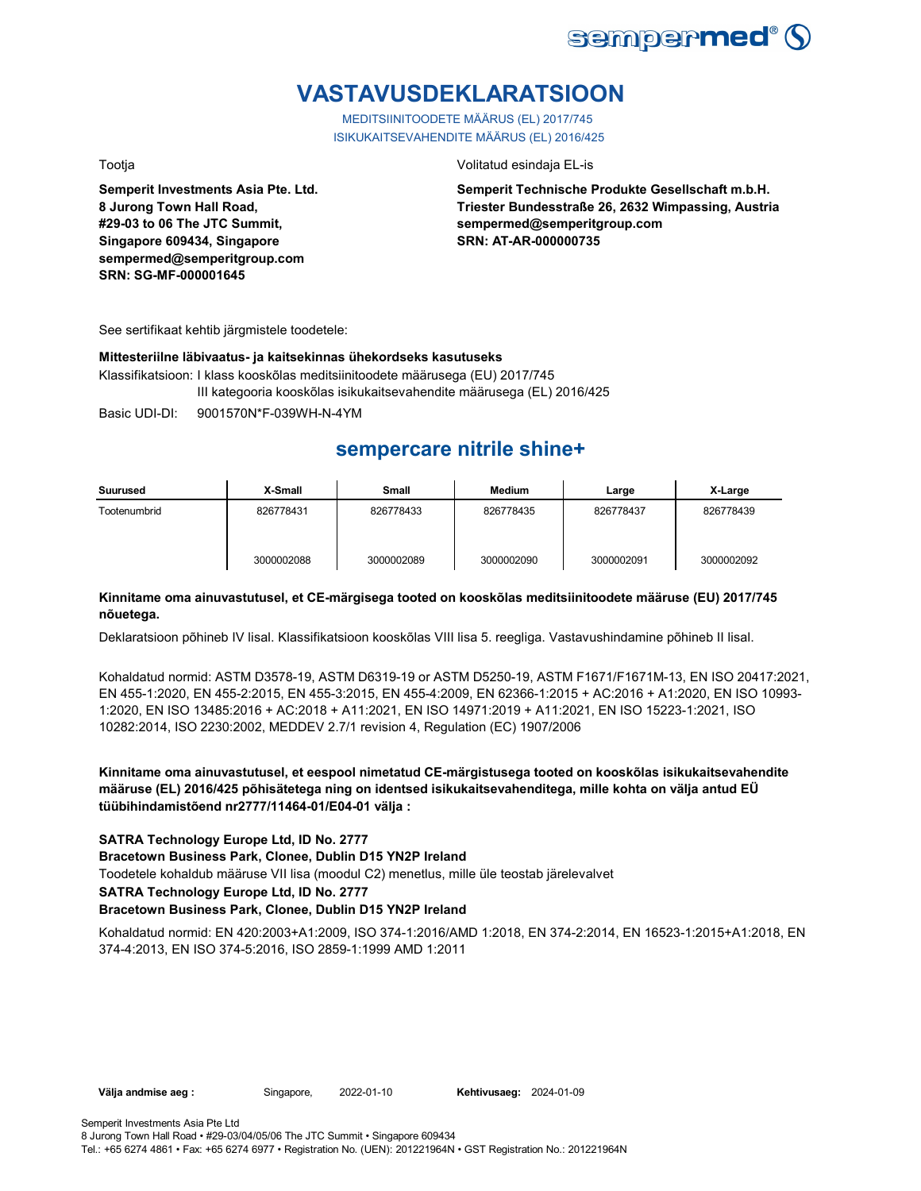

## **VASTAVUSDEKLARATSIOON**

MEDITSIINITOODETE MÄÄRUS (EL) 2017/745 ISIKUKAITSEVAHENDITE MÄÄRUS (EL) 2016/425

**Semperit Investments Asia Pte. Ltd. 8 Jurong Town Hall Road, #29-03 to 06 The JTC Summit, Singapore 609434, Singapore sempermed@semperitgroup.com SRN: SG-MF-000001645**

### Tootja Volitatud esindaja EL-is

**Semperit Technische Produkte Gesellschaft m.b.H. Triester Bundesstraße 26, 2632 Wimpassing, Austria sempermed@semperitgroup.com SRN: AT-AR-000000735**

See sertifikaat kehtib järgmistele toodetele:

## **Mittesteriilne läbivaatus- ja kaitsekinnas ühekordseks kasutuseks**

Klassifikatsioon: I klass kooskõlas meditsiinitoodete määrusega (EU) 2017/745 III kategooria kooskõlas isikukaitsevahendite määrusega (EL) 2016/425

Basic UDI-DI: 9001570N\*F-039WH-N-4YM

## **sempercare nitrile shine+**

| Suurused     | X-Small    | <b>Small</b> | <b>Medium</b> | Large      | X-Large    |
|--------------|------------|--------------|---------------|------------|------------|
| Tootenumbrid | 826778431  | 826778433    | 826778435     | 826778437  | 826778439  |
|              | 3000002088 | 3000002089   | 3000002090    | 3000002091 | 3000002092 |

## **Kinnitame oma ainuvastutusel, et CE-märgisega tooted on kooskõlas meditsiinitoodete määruse (EU) 2017/745 nõuetega.**

Deklaratsioon põhineb IV lisal. Klassifikatsioon kooskõlas VIII lisa 5. reegliga. Vastavushindamine põhineb II lisal.

Kohaldatud normid: ASTM D3578-19, ASTM D6319-19 or ASTM D5250-19, ASTM F1671/F1671M-13, EN ISO 20417:2021, EN 455-1:2020, EN 455-2:2015, EN 455-3:2015, EN 455-4:2009, EN 62366-1:2015 + AC:2016 + A1:2020, EN ISO 10993- 1:2020, EN ISO 13485:2016 + AC:2018 + A11:2021, EN ISO 14971:2019 + A11:2021, EN ISO 15223-1:2021, ISO 10282:2014, ISO 2230:2002, MEDDEV 2.7/1 revision 4, Regulation (EC) 1907/2006

**Kinnitame oma ainuvastutusel, et eespool nimetatud CE-märgistusega tooted on kooskõlas isikukaitsevahendite määruse (EL) 2016/425 põhisätetega ning on identsed isikukaitsevahenditega, mille kohta on välja antud EÜ tüübihindamistõend nr2777/11464-01/E04-01 välja :**

## **SATRA Technology Europe Ltd, ID No. 2777**

**Bracetown Business Park, Clonee, Dublin D15 YN2P Ireland**

Toodetele kohaldub määruse VII lisa (moodul C2) menetlus, mille üle teostab järelevalvet

### **SATRA Technology Europe Ltd, ID No. 2777**

## **Bracetown Business Park, Clonee, Dublin D15 YN2P Ireland**

Kohaldatud normid: EN 420:2003+A1:2009, ISO 374-1:2016/AMD 1:2018, EN 374-2:2014, EN 16523-1:2015+A1:2018, EN 374-4:2013, EN ISO 374-5:2016, ISO 2859-1:1999 AMD 1:2011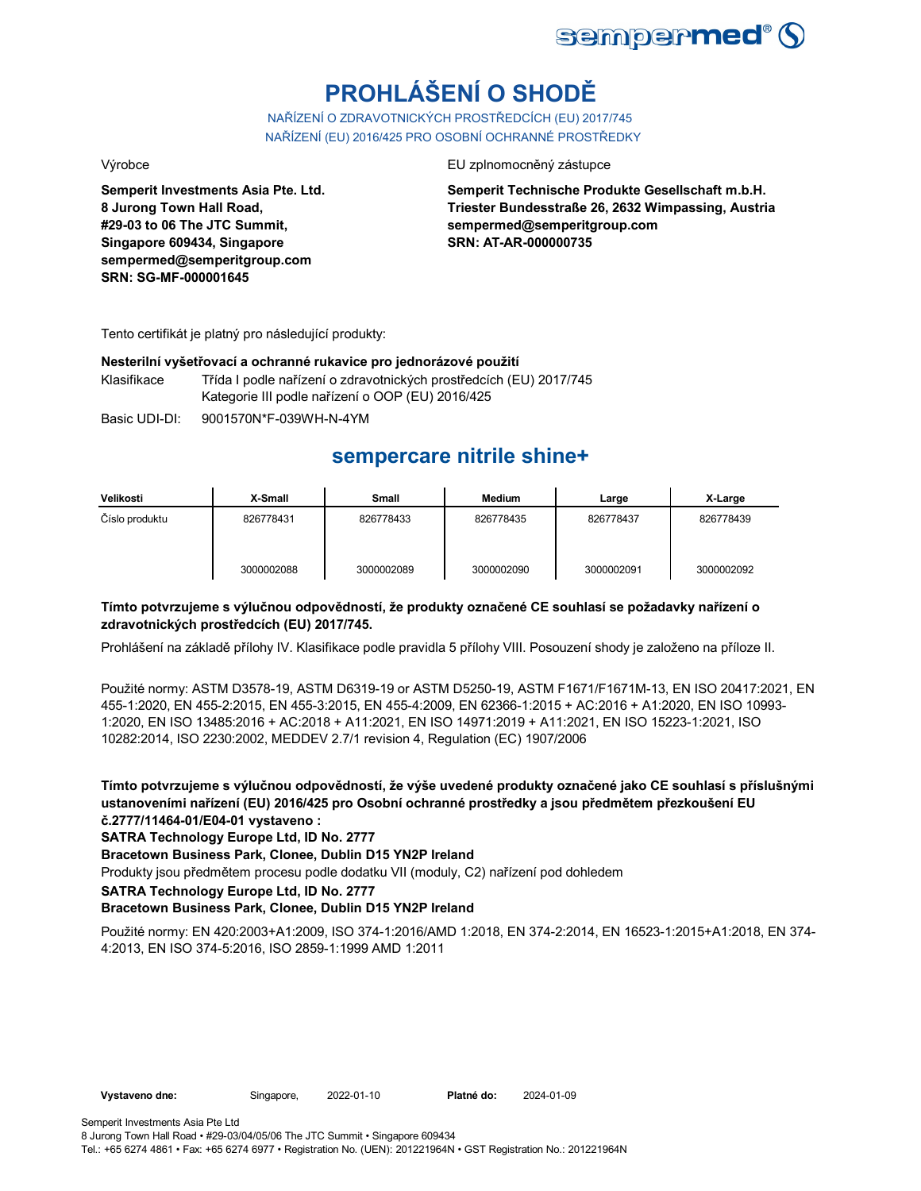

# **PROHLÁŠENÍ O SHODĚ**

NAŘÍZENÍ O ZDRAVOTNICKÝCH PROSTŘEDCÍCH (EU) 2017/745 NAŘÍZENÍ (EU) 2016/425 PRO OSOBNÍ OCHRANNÉ PROSTŘEDKY

**Semperit Investments Asia Pte. Ltd. 8 Jurong Town Hall Road, #29-03 to 06 The JTC Summit, Singapore 609434, Singapore sempermed@semperitgroup.com SRN: SG-MF-000001645**

Výrobce EU zplnomocněný zástupce

**Semperit Technische Produkte Gesellschaft m.b.H. Triester Bundesstraße 26, 2632 Wimpassing, Austria sempermed@semperitgroup.com SRN: AT-AR-000000735**

Tento certifikát je platný pro následující produkty:

## **Nesterilní vyšetřovací a ochranné rukavice pro jednorázové použití**

Klasifikace Třída I podle nařízení o zdravotnických prostředcích (EU) 2017/745 Kategorie III podle nařízení o OOP (EU) 2016/425

Basic UDI-DI: 9001570N\*F-039WH-N-4YM

## **sempercare nitrile shine+**

| Velikosti      | X-Small    | Small      | <b>Medium</b> | Large      | X-Large    |
|----------------|------------|------------|---------------|------------|------------|
| Číslo produktu | 826778431  | 826778433  | 826778435     | 826778437  | 826778439  |
|                | 3000002088 | 3000002089 | 3000002090    | 3000002091 | 3000002092 |

## **Tímto potvrzujeme s výlučnou odpovědností, že produkty označené CE souhlasí se požadavky nařízení o zdravotnických prostředcích (EU) 2017/745.**

Prohlášení na základě přílohy IV. Klasifikace podle pravidla 5 přílohy VIII. Posouzení shody je založeno na příloze II.

Použité normy: ASTM D3578-19, ASTM D6319-19 or ASTM D5250-19, ASTM F1671/F1671M-13, EN ISO 20417:2021, EN 455-1:2020, EN 455-2:2015, EN 455-3:2015, EN 455-4:2009, EN 62366-1:2015 + AC:2016 + A1:2020, EN ISO 10993- 1:2020, EN ISO 13485:2016 + AC:2018 + A11:2021, EN ISO 14971:2019 + A11:2021, EN ISO 15223-1:2021, ISO 10282:2014, ISO 2230:2002, MEDDEV 2.7/1 revision 4, Regulation (EC) 1907/2006

**Tímto potvrzujeme s výlučnou odpovědností, že výše uvedené produkty označené jako CE souhlasí s příslušnými ustanoveními nařízení (EU) 2016/425 pro Osobní ochranné prostředky a jsou předmětem přezkoušení EU č.2777/11464-01/E04-01 vystaveno :**

**SATRA Technology Europe Ltd, ID No. 2777**

**Bracetown Business Park, Clonee, Dublin D15 YN2P Ireland**

Produkty jsou předmětem procesu podle dodatku VII (moduly, C2) nařízení pod dohledem

**SATRA Technology Europe Ltd, ID No. 2777**

## **Bracetown Business Park, Clonee, Dublin D15 YN2P Ireland**

Použité normy: EN 420:2003+A1:2009, ISO 374-1:2016/AMD 1:2018, EN 374-2:2014, EN 16523-1:2015+A1:2018, EN 374- 4:2013, EN ISO 374-5:2016, ISO 2859-1:1999 AMD 1:2011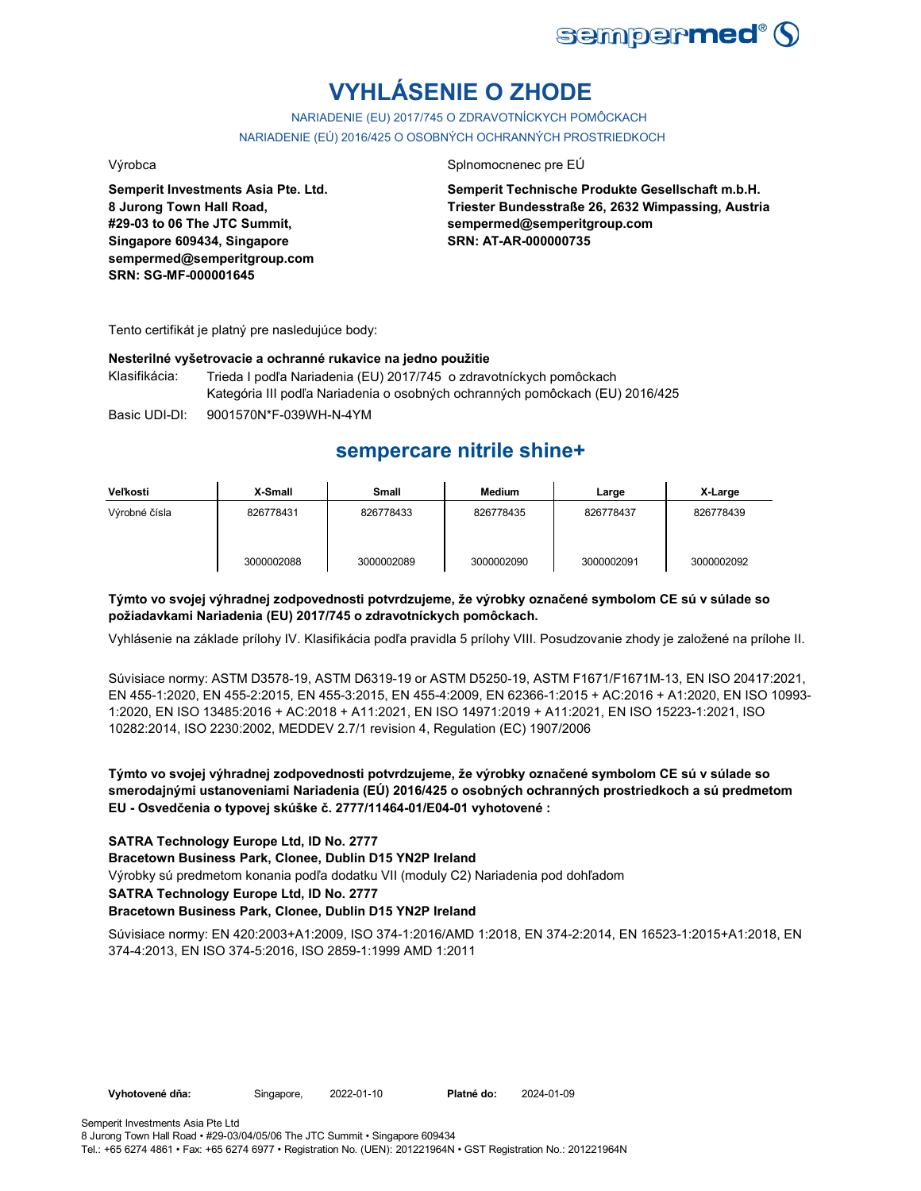

# **VYHLÁSENIE O ZHODE**

NARIADENIE (EU) 2017/745 O ZDRAVOTNÍCKYCH POMÔCKACH NARIADENIE (EÚ) 2016/425 O OSOBNÝCH OCHRANNÝCH PROSTRIEDKOCH

Výrobca Splnomocnenec pre EÚ

**Semperit Investments Asia Pte. Ltd. 8 Jurong Town Hall Road, #29-03 to 06 The JTC Summit, Singapore 609434, Singapore sempermed@semperitgroup.com SRN: SG-MF-000001645**

**Semperit Technische Produkte Gesellschaft m.b.H. Triester Bundesstraße 26, 2632 Wimpassing, Austria sempermed@semperitgroup.com SRN: AT-AR-000000735**

Tento certifikát je platný pre nasledujúce body:

## **Nesterilné vyšetrovacie a ochranné rukavice na jedno použitie**

Basic UDI-DI: 9001570N\*F-039WH-N-4YM Klasifikácia: Trieda I podľa Nariadenia (EU) 2017/745 o zdravotníckych pomôckach Kategória III podľa Nariadenia o osobných ochranných pomôckach (EU) 2016/425

## **sempercare nitrile shine+**

| Veľkosti      | X-Small    | Small      | <b>Medium</b> | Large      | X-Large    |
|---------------|------------|------------|---------------|------------|------------|
| Výrobné čísla | 826778431  | 826778433  | 826778435     | 826778437  | 826778439  |
|               | 3000002088 | 3000002089 | 3000002090    | 3000002091 | 3000002092 |

## **Týmto vo svojej výhradnej zodpovednosti potvrdzujeme, že výrobky označené symbolom CE sú v súlade so požiadavkami Nariadenia (EU) 2017/745 o zdravotníckych pomôckach.**

Vyhlásenie na základe prílohy IV. Klasifikácia podľa pravidla 5 prílohy VIII. Posudzovanie zhody je založené na prílohe II.

Súvisiace normy: ASTM D3578-19, ASTM D6319-19 or ASTM D5250-19, ASTM F1671/F1671M-13, EN ISO 20417:2021, EN 455-1:2020, EN 455-2:2015, EN 455-3:2015, EN 455-4:2009, EN 62366-1:2015 + AC:2016 + A1:2020, EN ISO 10993- 1:2020, EN ISO 13485:2016 + AC:2018 + A11:2021, EN ISO 14971:2019 + A11:2021, EN ISO 15223-1:2021, ISO 10282:2014, ISO 2230:2002, MEDDEV 2.7/1 revision 4, Regulation (EC) 1907/2006

**Týmto vo svojej výhradnej zodpovednosti potvrdzujeme, že výrobky označené symbolom CE sú v súlade so smerodajnými ustanoveniami Nariadenia (EÚ) 2016/425 o osobných ochranných prostriedkoch a sú predmetom EU - Osvedčenia o typovej skúške č. 2777/11464-01/E04-01 vyhotovené :**

## **SATRA Technology Europe Ltd, ID No. 2777**

**Bracetown Business Park, Clonee, Dublin D15 YN2P Ireland**

Výrobky sú predmetom konania podľa dodatku VII (moduly C2) Nariadenia pod dohľadom

### **SATRA Technology Europe Ltd, ID No. 2777**

## **Bracetown Business Park, Clonee, Dublin D15 YN2P Ireland**

Súvisiace normy: EN 420:2003+A1:2009, ISO 374-1:2016/AMD 1:2018, EN 374-2:2014, EN 16523-1:2015+A1:2018, EN 374-4:2013, EN ISO 374-5:2016, ISO 2859-1:1999 AMD 1:2011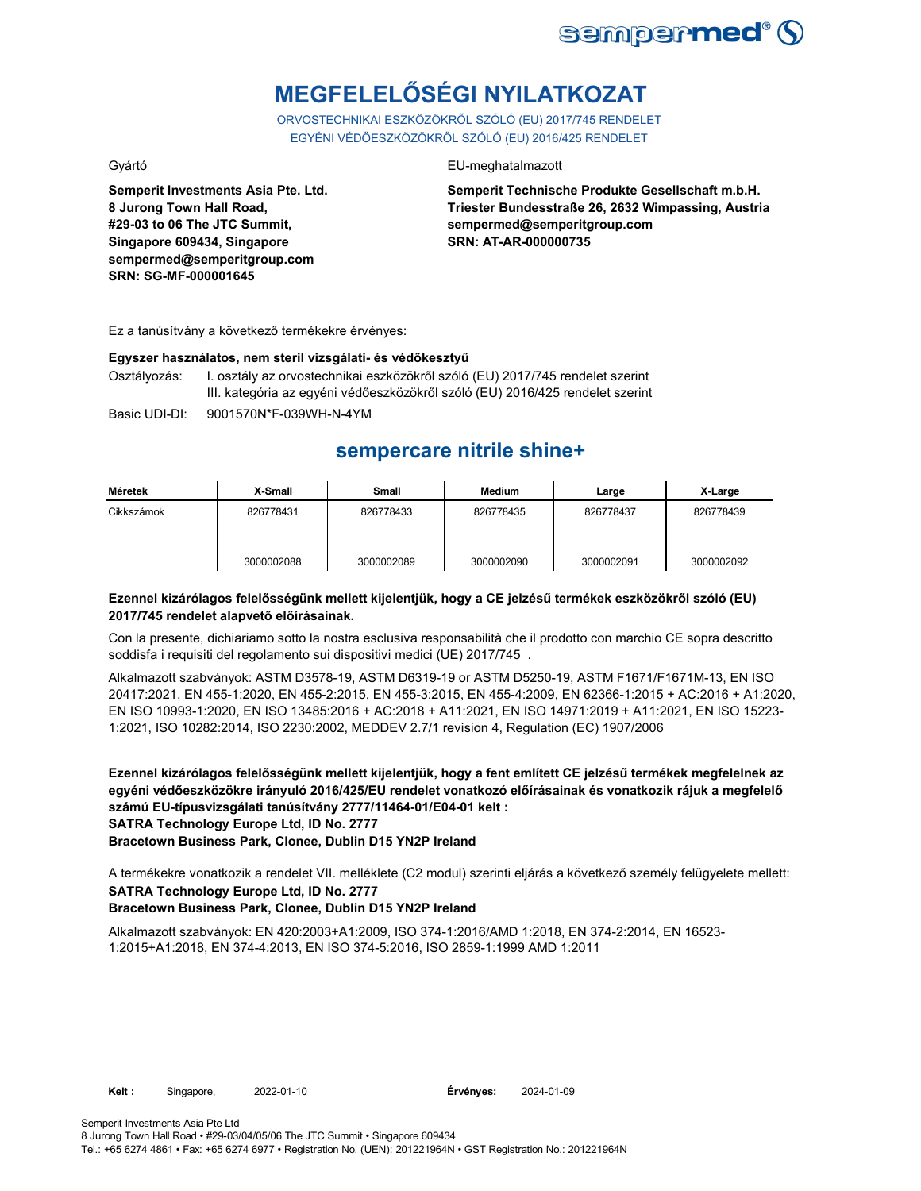

# **MEGFELELŐSÉGI NYILATKOZAT**

ORVOSTECHNIKAI ESZKÖZÖKRŐL SZÓLÓ (EU) 2017/745 RENDELET EGYÉNI VÉDŐESZKÖZÖKRŐL SZÓLÓ (EU) 2016/425 RENDELET

**Semperit Investments Asia Pte. Ltd. 8 Jurong Town Hall Road, #29-03 to 06 The JTC Summit, Singapore 609434, Singapore sempermed@semperitgroup.com SRN: SG-MF-000001645**

## Gyártó EU-meghatalmazott

**Semperit Technische Produkte Gesellschaft m.b.H. Triester Bundesstraße 26, 2632 Wimpassing, Austria sempermed@semperitgroup.com SRN: AT-AR-000000735**

Ez a tanúsítvány a következő termékekre érvényes:

### **Egyszer használatos, nem steril vizsgálati- és védőkesztyű**

Osztályozás: I. osztály az orvostechnikai eszközökről szóló (EU) 2017/745 rendelet szerint III. kategória az egyéni védőeszközökről szóló (EU) 2016/425 rendelet szerint

Basic UDI-DI: 9001570N\*F-039WH-N-4YM

## **sempercare nitrile shine+**

| Méretek    | X-Small    | Small      | Medium     | Large      | X-Large    |
|------------|------------|------------|------------|------------|------------|
| Cikkszámok | 826778431  | 826778433  | 826778435  | 826778437  | 826778439  |
|            | 3000002088 | 3000002089 | 3000002090 | 3000002091 | 3000002092 |

## **Ezennel kizárólagos felelősségünk mellett kijelentjük, hogy a CE jelzésű termékek eszközökről szóló (EU) 2017/745 rendelet alapvető előírásainak.**

Con la presente, dichiariamo sotto la nostra esclusiva responsabilità che il prodotto con marchio CE sopra descritto soddisfa i requisiti del regolamento sui dispositivi medici (UE) 2017/745 .

Alkalmazott szabványok: ASTM D3578-19, ASTM D6319-19 or ASTM D5250-19, ASTM F1671/F1671M-13, EN ISO 20417:2021, EN 455-1:2020, EN 455-2:2015, EN 455-3:2015, EN 455-4:2009, EN 62366-1:2015 + AC:2016 + A1:2020, EN ISO 10993-1:2020, EN ISO 13485:2016 + AC:2018 + A11:2021, EN ISO 14971:2019 + A11:2021, EN ISO 15223- 1:2021, ISO 10282:2014, ISO 2230:2002, MEDDEV 2.7/1 revision 4, Regulation (EC) 1907/2006

**Ezennel kizárólagos felelősségünk mellett kijelentjük, hogy a fent említett CE jelzésű termékek megfelelnek az egyéni védőeszközökre irányuló 2016/425/EU rendelet vonatkozó előírásainak és vonatkozik rájuk a megfelelő számú EU-típusvizsgálati tanúsítvány 2777/11464-01/E04-01 kelt : SATRA Technology Europe Ltd, ID No. 2777**

**Bracetown Business Park, Clonee, Dublin D15 YN2P Ireland**

**SATRA Technology Europe Ltd, ID No. 2777** A termékekre vonatkozik a rendelet VII. melléklete (C2 modul) szerinti eljárás a következő személy felügyelete mellett:

## **Bracetown Business Park, Clonee, Dublin D15 YN2P Ireland**

Alkalmazott szabványok: EN 420:2003+A1:2009, ISO 374-1:2016/AMD 1:2018, EN 374-2:2014, EN 16523- 1:2015+A1:2018, EN 374-4:2013, EN ISO 374-5:2016, ISO 2859-1:1999 AMD 1:2011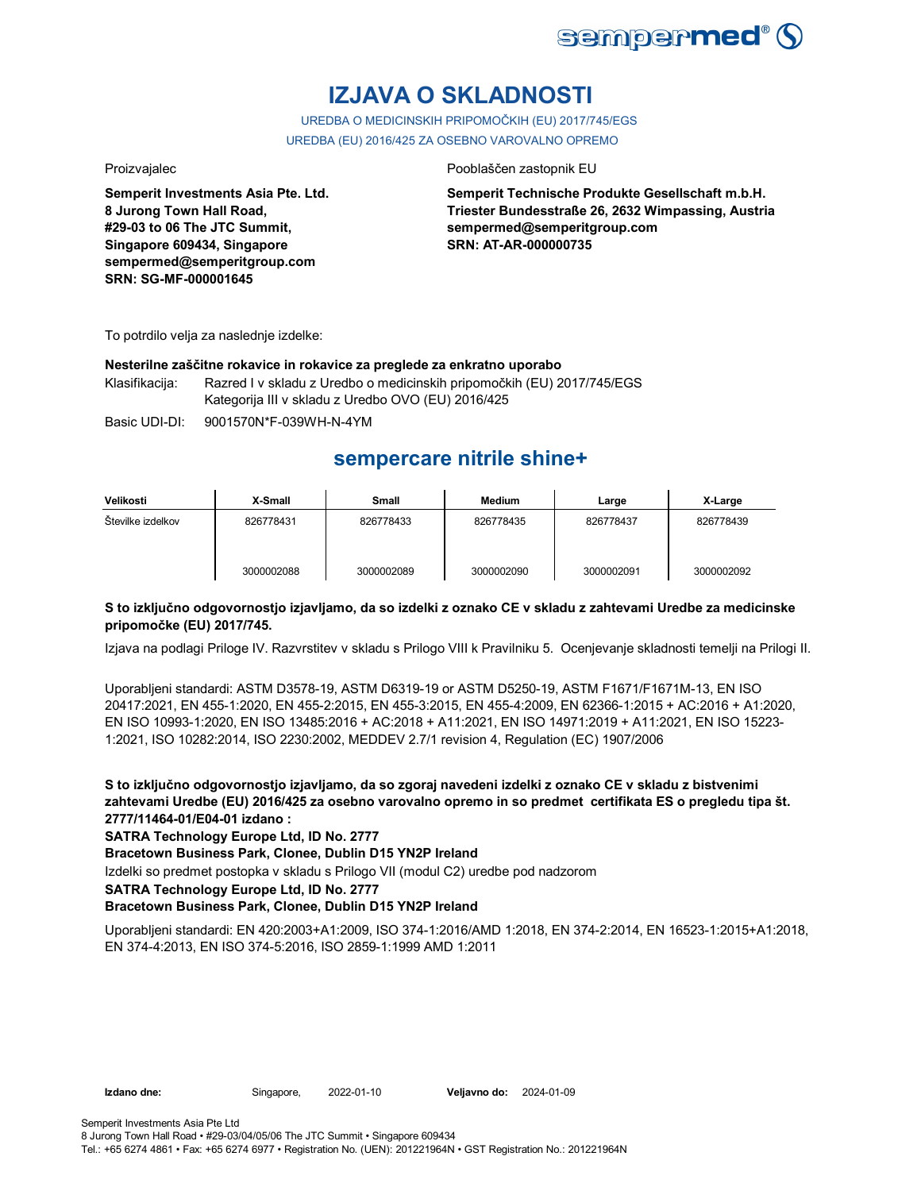

## **IZJAVA O SKLADNOSTI**

UREDBA O MEDICINSKIH PRIPOMOČKIH (EU) 2017/745/EGS UREDBA (EU) 2016/425 ZA OSEBNO VAROVALNO OPREMO

**Semperit Investments Asia Pte. Ltd. 8 Jurong Town Hall Road, #29-03 to 06 The JTC Summit, Singapore 609434, Singapore sempermed@semperitgroup.com SRN: SG-MF-000001645**

## Proizvajalec **Proizvajalec** Pooblaščen zastopnik EU

**Semperit Technische Produkte Gesellschaft m.b.H. Triester Bundesstraße 26, 2632 Wimpassing, Austria sempermed@semperitgroup.com SRN: AT-AR-000000735**

To potrdilo velja za naslednje izdelke:

## **Nesterilne zaščitne rokavice in rokavice za preglede za enkratno uporabo**

Klasifikacija: Razred I v skladu z Uredbo o medicinskih pripomočkih (EU) 2017/745/EGS Kategorija III v skladu z Uredbo OVO (EU) 2016/425

Basic UDI-DI: 9001570N\*F-039WH-N-4YM

## **sempercare nitrile shine+**

| Velikosti         | X-Small    | Small      | <b>Medium</b> | Large      | X-Large    |
|-------------------|------------|------------|---------------|------------|------------|
| Stevilke izdelkov | 826778431  | 826778433  | 826778435     | 826778437  | 826778439  |
|                   | 3000002088 | 3000002089 | 3000002090    | 3000002091 | 3000002092 |

## **S to izključno odgovornostjo izjavljamo, da so izdelki z oznako CE v skladu z zahtevami Uredbe za medicinske pripomočke (EU) 2017/745.**

Izjava na podlagi Priloge IV. Razvrstitev v skladu s Prilogo VIII k Pravilniku 5. Ocenjevanje skladnosti temelji na Prilogi II.

Uporabljeni standardi: ASTM D3578-19, ASTM D6319-19 or ASTM D5250-19, ASTM F1671/F1671M-13, EN ISO 20417:2021, EN 455-1:2020, EN 455-2:2015, EN 455-3:2015, EN 455-4:2009, EN 62366-1:2015 + AC:2016 + A1:2020, EN ISO 10993-1:2020, EN ISO 13485:2016 + AC:2018 + A11:2021, EN ISO 14971:2019 + A11:2021, EN ISO 15223- 1:2021, ISO 10282:2014, ISO 2230:2002, MEDDEV 2.7/1 revision 4, Regulation (EC) 1907/2006

**S to izključno odgovornostjo izjavljamo, da so zgoraj navedeni izdelki z oznako CE v skladu z bistvenimi zahtevami Uredbe (EU) 2016/425 za osebno varovalno opremo in so predmet certifikata ES o pregledu tipa št. 2777/11464-01/E04-01 izdano :**

## **SATRA Technology Europe Ltd, ID No. 2777**

**Bracetown Business Park, Clonee, Dublin D15 YN2P Ireland**

Izdelki so predmet postopka v skladu s Prilogo VII (modul C2) uredbe pod nadzorom

### **SATRA Technology Europe Ltd, ID No. 2777**

## **Bracetown Business Park, Clonee, Dublin D15 YN2P Ireland**

Uporabljeni standardi: EN 420:2003+A1:2009, ISO 374-1:2016/AMD 1:2018, EN 374-2:2014, EN 16523-1:2015+A1:2018, EN 374-4:2013, EN ISO 374-5:2016, ISO 2859-1:1999 AMD 1:2011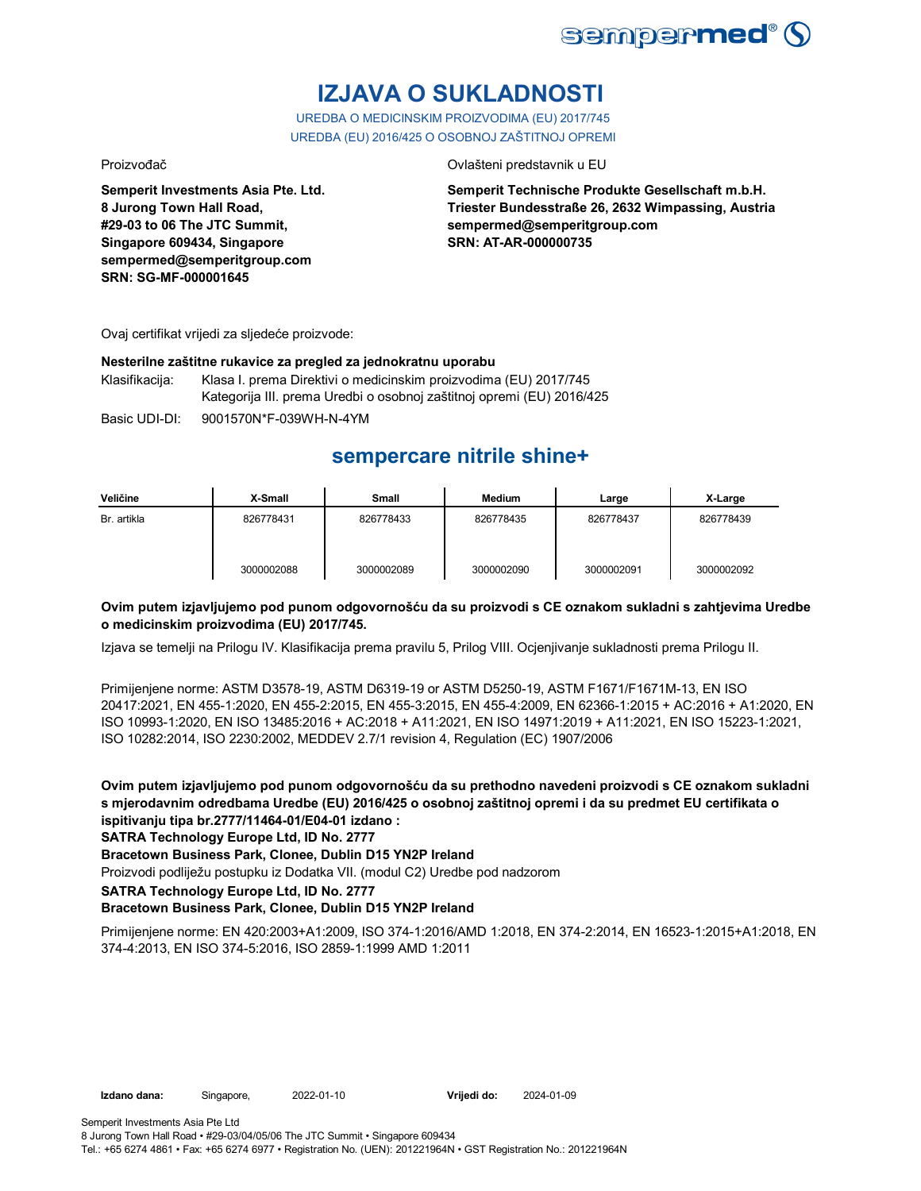

# **IZJAVA O SUKLADNOSTI**

UREDBA O MEDICINSKIM PROIZVODIMA (EU) 2017/745 UREDBA (EU) 2016/425 O OSOBNOJ ZAŠTITNOJ OPREMI

Proizvođač Ovlašteni predstavnik u EU

**Semperit Investments Asia Pte. Ltd. 8 Jurong Town Hall Road, #29-03 to 06 The JTC Summit, Singapore 609434, Singapore sempermed@semperitgroup.com SRN: SG-MF-000001645**

**Semperit Technische Produkte Gesellschaft m.b.H. Triester Bundesstraße 26, 2632 Wimpassing, Austria sempermed@semperitgroup.com SRN: AT-AR-000000735**

Ovaj certifikat vrijedi za sljedeće proizvode:

## **Nesterilne zaštitne rukavice za pregled za jednokratnu uporabu**

Klasifikacija: Klasa I. prema Direktivi o medicinskim proizvodima (EU) 2017/745 Kategorija III. prema Uredbi o osobnoj zaštitnoj opremi (EU) 2016/425

Basic UDI-DI: 9001570N\*F-039WH-N-4YM

## **sempercare nitrile shine+**

| Veličine    | X-Small    | Small      | <b>Medium</b> | Large      | X-Large    |
|-------------|------------|------------|---------------|------------|------------|
| Br. artikla | 826778431  | 826778433  | 826778435     | 826778437  | 826778439  |
|             | 3000002088 | 3000002089 | 3000002090    | 3000002091 | 3000002092 |

## **Ovim putem izjavljujemo pod punom odgovornošću da su proizvodi s CE oznakom sukladni s zahtjevima Uredbe o medicinskim proizvodima (EU) 2017/745.**

Izjava se temelji na Prilogu IV. Klasifikacija prema pravilu 5, Prilog VIII. Ocjenjivanje sukladnosti prema Prilogu II.

Primijenjene norme: ASTM D3578-19, ASTM D6319-19 or ASTM D5250-19, ASTM F1671/F1671M-13, EN ISO 20417:2021, EN 455-1:2020, EN 455-2:2015, EN 455-3:2015, EN 455-4:2009, EN 62366-1:2015 + AC:2016 + A1:2020, EN ISO 10993-1:2020, EN ISO 13485:2016 + AC:2018 + A11:2021, EN ISO 14971:2019 + A11:2021, EN ISO 15223-1:2021, ISO 10282:2014, ISO 2230:2002, MEDDEV 2.7/1 revision 4, Regulation (EC) 1907/2006

**Ovim putem izjavljujemo pod punom odgovornošću da su prethodno navedeni proizvodi s CE oznakom sukladni s mjerodavnim odredbama Uredbe (EU) 2016/425 o osobnoj zaštitnoj opremi i da su predmet EU certifikata o ispitivanju tipa br.2777/11464-01/E04-01 izdano :**

**SATRA Technology Europe Ltd, ID No. 2777**

## **Bracetown Business Park, Clonee, Dublin D15 YN2P Ireland**

Proizvodi podliježu postupku iz Dodatka VII. (modul C2) Uredbe pod nadzorom

**SATRA Technology Europe Ltd, ID No. 2777**

## **Bracetown Business Park, Clonee, Dublin D15 YN2P Ireland**

Primijenjene norme: EN 420:2003+A1:2009, ISO 374-1:2016/AMD 1:2018, EN 374-2:2014, EN 16523-1:2015+A1:2018, EN 374-4:2013, EN ISO 374-5:2016, ISO 2859-1:1999 AMD 1:2011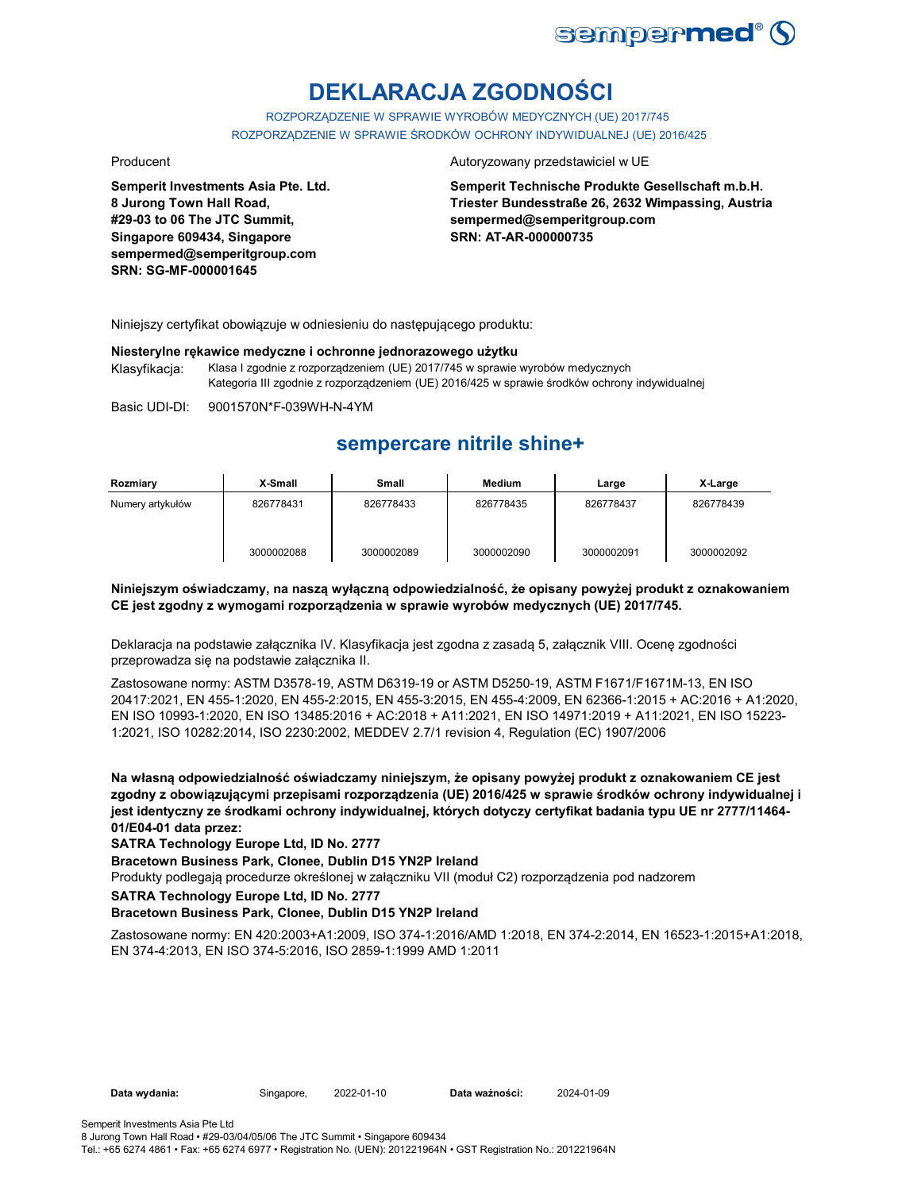

# **DEKLARACJA ZGODNOŚCI**

ROZPORZĄDZENIE W SPRAWIE WYROBÓW MEDYCZNYCH (UE) 2017/745 ROZPORZĄDZENIE W SPRAWIE ŚRODKÓW OCHRONY INDYWIDUALNEJ (UE) 2016/425

**Semperit Investments Asia Pte. Ltd. 8 Jurong Town Hall Road, #29-03 to 06 The JTC Summit, Singapore 609434, Singapore sempermed@semperitgroup.com SRN: SG-MF-000001645**

### Producent **Autoryzowany przedstawiciel w UE**

**Semperit Technische Produkte Gesellschaft m.b.H. Triester Bundesstraße 26, 2632 Wimpassing, Austria sempermed@semperitgroup.com SRN: AT-AR-000000735**

Niniejszy certyfikat obowiązuje w odniesieniu do następującego produktu:

### **Niesterylne rękawice medyczne i ochronne jednorazowego użytku**

Klasyfikacja: Klasa I zgodnie z rozporządzeniem (UE) 2017/745 w sprawie wyrobów medycznych Kategoria III zgodnie z rozporządzeniem (UE) 2016/425 w sprawie środków ochrony indywidualnej

Basic UDI-DI: 9001570N\*F-039WH-N-4YM

## **sempercare nitrile shine+**

| Rozmiary         | X-Small    | <b>Small</b> | <b>Medium</b> | Large      | X-Large    |
|------------------|------------|--------------|---------------|------------|------------|
| Numery artykułów | 826778431  | 826778433    | 826778435     | 826778437  | 826778439  |
|                  | 3000002088 | 3000002089   | 3000002090    | 3000002091 | 3000002092 |

## **Niniejszym oświadczamy, na naszą wyłączną odpowiedzialność, że opisany powyżej produkt z oznakowaniem CE jest zgodny z wymogami rozporządzenia w sprawie wyrobów medycznych (UE) 2017/745.**

Deklaracja na podstawie załącznika IV. Klasyfikacja jest zgodna z zasadą 5, załącznik VIII. Ocenę zgodności przeprowadza się na podstawie załącznika II.

Zastosowane normy: ASTM D3578-19, ASTM D6319-19 or ASTM D5250-19, ASTM F1671/F1671M-13, EN ISO 20417:2021, EN 455-1:2020, EN 455-2:2015, EN 455-3:2015, EN 455-4:2009, EN 62366-1:2015 + AC:2016 + A1:2020, EN ISO 10993-1:2020, EN ISO 13485:2016 + AC:2018 + A11:2021, EN ISO 14971:2019 + A11:2021, EN ISO 15223- 1:2021, ISO 10282:2014, ISO 2230:2002, MEDDEV 2.7/1 revision 4, Regulation (EC) 1907/2006

**Na własną odpowiedzialność oświadczamy niniejszym, że opisany powyżej produkt z oznakowaniem CE jest zgodny z obowiązującymi przepisami rozporządzenia (UE) 2016/425 w sprawie środków ochrony indywidualnej i jest identyczny ze środkami ochrony indywidualnej, których dotyczy certyfikat badania typu UE nr 2777/11464- 01/E04-01 data przez:**

### **SATRA Technology Europe Ltd, ID No. 2777**

**Bracetown Business Park, Clonee, Dublin D15 YN2P Ireland**

Produkty podlegają procedurze określonej w załączniku VII (moduł C2) rozporządzenia pod nadzorem

**SATRA Technology Europe Ltd, ID No. 2777**

### **Bracetown Business Park, Clonee, Dublin D15 YN2P Ireland**

Zastosowane normy: EN 420:2003+A1:2009, ISO 374-1:2016/AMD 1:2018, EN 374-2:2014, EN 16523-1:2015+A1:2018, EN 374-4:2013, EN ISO 374-5:2016, ISO 2859-1:1999 AMD 1:2011

**Data wydania:** Singapore, 2022-01-10 **Data ważności:** 2024-01-09

8 Jurong Town Hall Road • #29-03/04/05/06 The JTC Summit • Singapore 609434 Tel.: +65 6274 4861 • Fax: +65 6274 6977 • Registration No. (UEN): 201221964N • GST Registration No.: 201221964N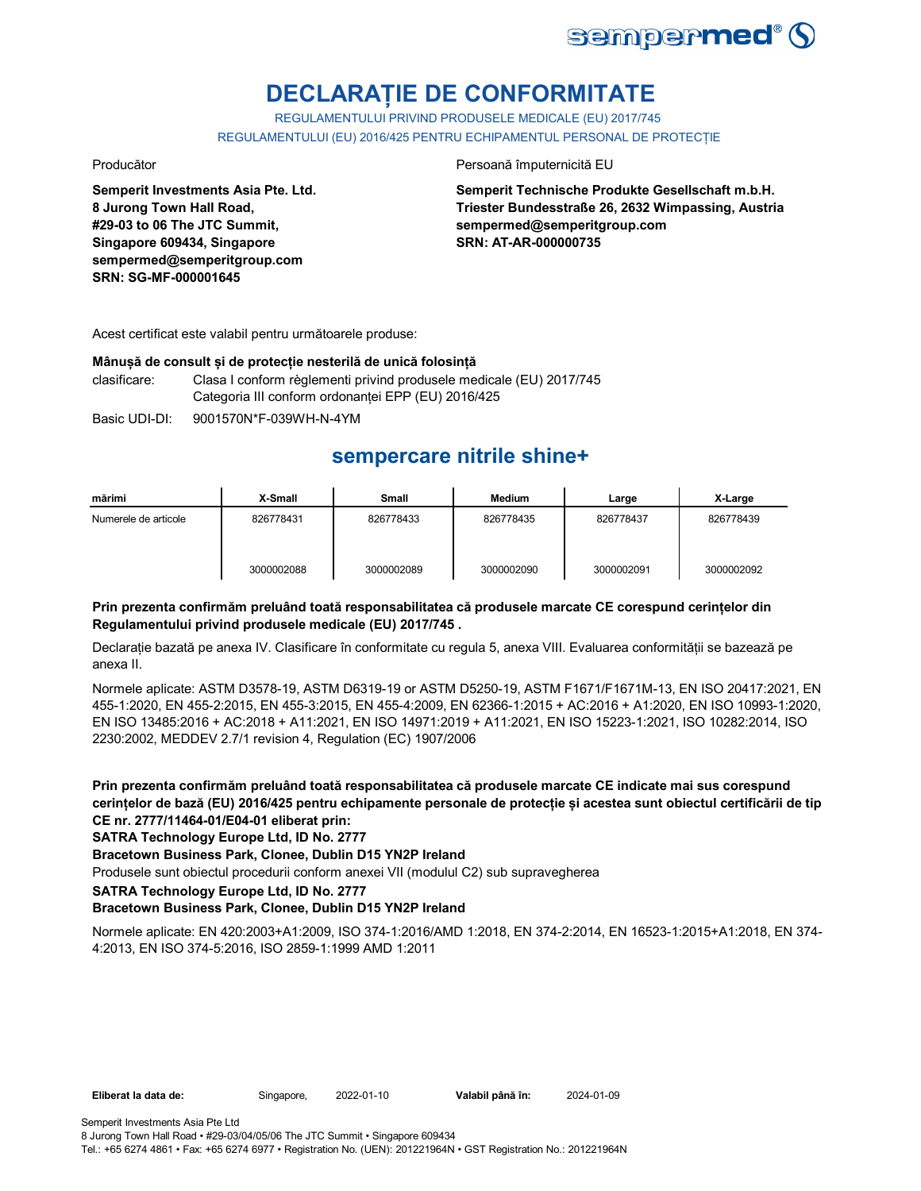

# **DECLARAȚIE DE CONFORMITATE**

REGULAMENTULUI PRIVIND PRODUSELE MEDICALE (EU) 2017/745 REGULAMENTULUI (EU) 2016/425 PENTRU ECHIPAMENTUL PERSONAL DE PROTECȚIE

**Semperit Investments Asia Pte. Ltd. 8 Jurong Town Hall Road, #29-03 to 06 The JTC Summit, Singapore 609434, Singapore sempermed@semperitgroup.com SRN: SG-MF-000001645**

## Producător **Producător** Persoană împuternicită EU

**Semperit Technische Produkte Gesellschaft m.b.H. Triester Bundesstraße 26, 2632 Wimpassing, Austria sempermed@semperitgroup.com SRN: AT-AR-000000735**

Acest certificat este valabil pentru următoarele produse:

## **Mânușă de consult și de protecție nesterilă de unică folosință**

clasificare: Clasa I conform règlementi privind produsele medicale (EU) 2017/745 Categoria III conform ordonanței EPP (EU) 2016/425

Basic UDI-DI: 9001570N\*F-039WH-N-4YM

## **sempercare nitrile shine+**

| mărimi               | X-Small    | <b>Small</b> | Medium     | Large      | X-Large    |
|----------------------|------------|--------------|------------|------------|------------|
| Numerele de articole | 826778431  | 826778433    | 826778435  | 826778437  | 826778439  |
|                      | 3000002088 | 3000002089   | 3000002090 | 3000002091 | 3000002092 |

## **Prin prezenta confirmăm preluând toată responsabilitatea că produsele marcate CE corespund cerințelor din Regulamentului privind produsele medicale (EU) 2017/745 .**

Declarație bazată pe anexa IV. Clasificare în conformitate cu regula 5, anexa VIII. Evaluarea conformității se bazează pe anexa II.

Normele aplicate: ASTM D3578-19, ASTM D6319-19 or ASTM D5250-19, ASTM F1671/F1671M-13, EN ISO 20417:2021, EN 455-1:2020, EN 455-2:2015, EN 455-3:2015, EN 455-4:2009, EN 62366-1:2015 + AC:2016 + A1:2020, EN ISO 10993-1:2020, EN ISO 13485:2016 + AC:2018 + A11:2021, EN ISO 14971:2019 + A11:2021, EN ISO 15223-1:2021, ISO 10282:2014, ISO 2230:2002, MEDDEV 2.7/1 revision 4, Regulation (EC) 1907/2006

**Prin prezenta confirmăm preluând toată responsabilitatea că produsele marcate CE indicate mai sus corespund cerințelor de bază (EU) 2016/425 pentru echipamente personale de protecție și acestea sunt obiectul certificării de tip CE nr. 2777/11464-01/E04-01 eliberat prin:**

## **SATRA Technology Europe Ltd, ID No. 2777**

## **Bracetown Business Park, Clonee, Dublin D15 YN2P Ireland**

Produsele sunt obiectul procedurii conform anexei VII (modulul C2) sub supravegherea

**SATRA Technology Europe Ltd, ID No. 2777**

## **Bracetown Business Park, Clonee, Dublin D15 YN2P Ireland**

Normele aplicate: EN 420:2003+A1:2009, ISO 374-1:2016/AMD 1:2018, EN 374-2:2014, EN 16523-1:2015+A1:2018, EN 374- 4:2013, EN ISO 374-5:2016, ISO 2859-1:1999 AMD 1:2011

**Eliberat la data de:** Singapore, 2022-01-10 **Valabil până în:** 2024-01-09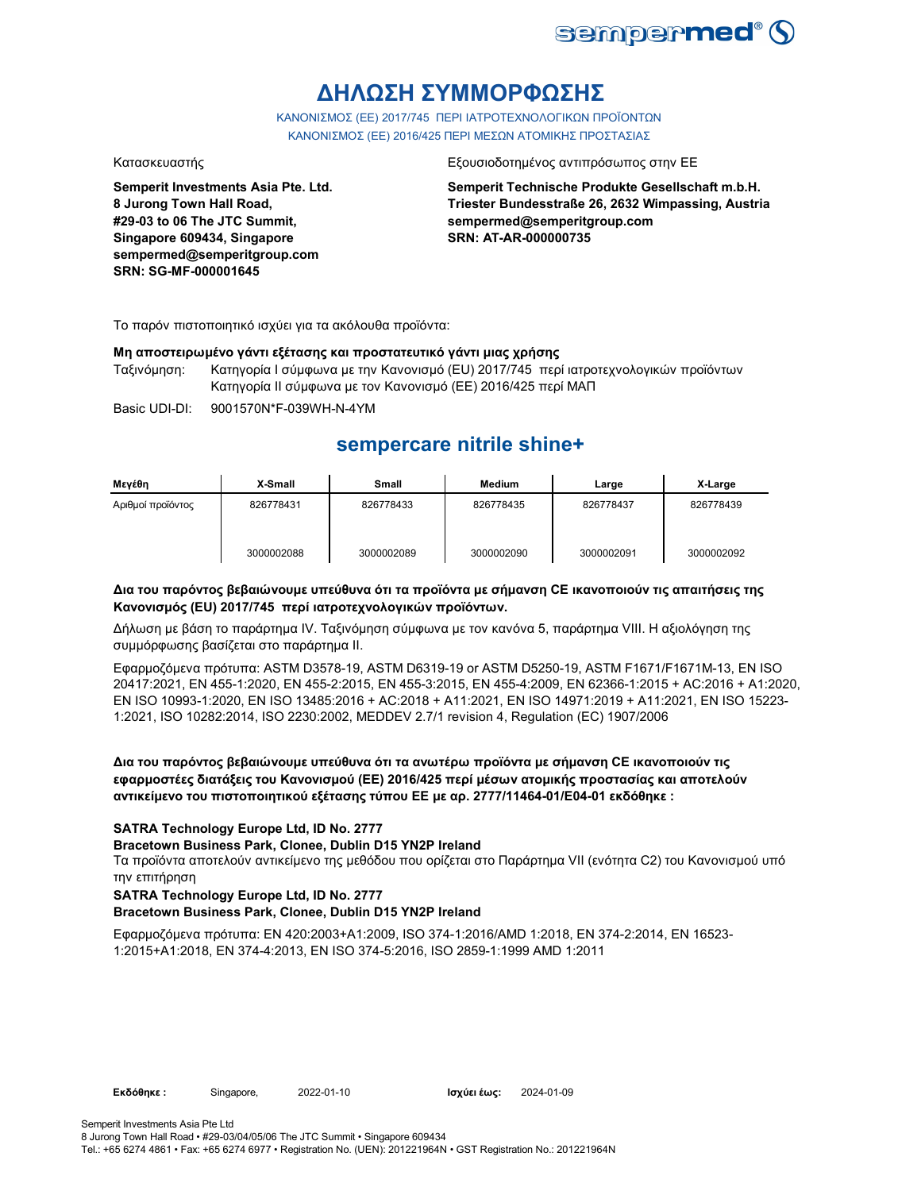

## **ΔΗΛΩΣΗ ΣΥΜΜΟΡΦΩΣΗΣ**

ΚΑΝΟΝΙΣΜΟΣ (EE) 2017/745 ΠΕΡΙ ΙΑΤΡΟΤΕΧΝΟΛΟΓΙΚΩΝ ΠΡΟΪΟΝΤΩΝ ΚΑΝΟΝΙΣΜΟΣ (ΕΕ) 2016/425 ΠΕΡΙ ΜΕΣΩΝ ΑΤΟΜΙΚΗΣ ΠΡΟΣΤΑΣΙΑΣ

**Semperit Investments Asia Pte. Ltd. 8 Jurong Town Hall Road, #29-03 to 06 The JTC Summit, Singapore 609434, Singapore sempermed@semperitgroup.com SRN: SG-MF-000001645**

### Κατασκευαστής Εξουσιοδοτημένος αντιπρόσωπος στην ΕΕ

**Semperit Technische Produkte Gesellschaft m.b.H. Triester Bundesstraße 26, 2632 Wimpassing, Austria sempermed@semperitgroup.com SRN: AT-AR-000000735**

Το παρόν πιστοποιητικό ισχύει για τα ακόλουθα προϊόντα:

## **Μη αποστειρωμένο γάντι εξέτασης και προστατευτικό γάντι μιας χρήσης**

Ταξινόμηση: Κατηγορία I σύμφωνα με την Κανονισμό (EU) 2017/745 περί ιατροτεχνολογικών προϊόντων Κατηγορία II σύμφωνα με τον Κανονισμό (ΕΕ) 2016/425 περί ΜΑΠ

Basic UDI-DI: 9001570N\*F-039WH-N-4YM

## **sempercare nitrile shine+**

| Μενέθη            | X-Small    | <b>Small</b> | <b>Medium</b> | Large      | X-Large    |
|-------------------|------------|--------------|---------------|------------|------------|
| Αριθμοί προϊόντος | 826778431  | 826778433    | 826778435     | 826778437  | 826778439  |
|                   | 3000002088 | 3000002089   | 3000002090    | 3000002091 | 3000002092 |

## **Δια του παρόντος βεβαιώνουμε υπεύθυνα ότι τα προϊόντα με σήμανση CE ικανοποιούν τις απαιτήσεις της Κανονισμός (EU) 2017/745 περί ιατροτεχνολογικών προϊόντων.**

Δήλωση με βάση το παράρτημα IV. Ταξινόμηση σύμφωνα με τον κανόνα 5, παράρτημα VIII. Η αξιολόγηση της συμμόρφωσης βασίζεται στο παράρτημα II.

Εφαρμοζόμενα πρότυπα: ASTM D3578-19, ASTM D6319-19 or ASTM D5250-19, ASTM F1671/F1671M-13, EN ISO 20417:2021, EN 455-1:2020, EN 455-2:2015, EN 455-3:2015, EN 455-4:2009, EN 62366-1:2015 + AC:2016 + A1:2020, EN ISO 10993-1:2020, EN ISO 13485:2016 + AC:2018 + A11:2021, EN ISO 14971:2019 + A11:2021, EN ISO 15223- 1:2021, ISO 10282:2014, ISO 2230:2002, MEDDEV 2.7/1 revision 4, Regulation (EC) 1907/2006

**Δια του παρόντος βεβαιώνουμε υπεύθυνα ότι τα ανωτέρω προϊόντα με σήμανση CE ικανοποιούν τις εφαρμοστέες διατάξεις του Κανονισμού (ΕΕ) 2016/425 περί μέσων ατομικής προστασίας και αποτελούν αντικείμενο του πιστοποιητικού εξέτασης τύπου ΕΕ με αρ. 2777/11464-01/E04-01 εκδόθηκε :**

## **SATRA Technology Europe Ltd, ID No. 2777**

## **Bracetown Business Park, Clonee, Dublin D15 YN2P Ireland**

Τα προϊόντα αποτελούν αντικείμενο της μεθόδου που ορίζεται στο Παράρτημα VII (ενότητα C2) του Κανονισμού υπό την επιτήρηση

## **SATRA Technology Europe Ltd, ID No. 2777**

## **Bracetown Business Park, Clonee, Dublin D15 YN2P Ireland**

Εφαρμοζόμενα πρότυπα: EN 420:2003+A1:2009, ISO 374-1:2016/AMD 1:2018, EN 374-2:2014, EN 16523- 1:2015+A1:2018, EN 374-4:2013, EN ISO 374-5:2016, ISO 2859-1:1999 AMD 1:2011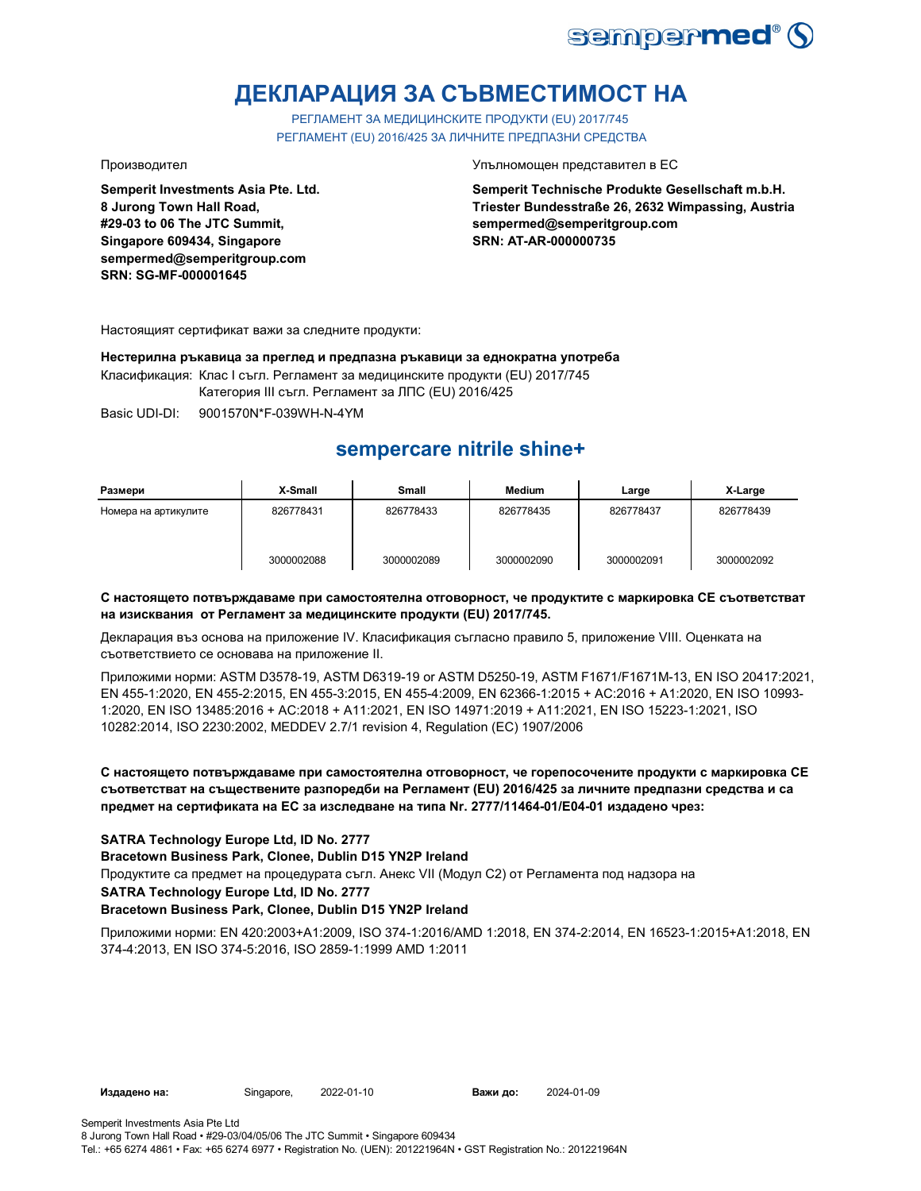

# **ДЕКЛАРАЦИЯ ЗА СЪВМЕСТИМОСТ НА**

РЕГЛАМЕНТ ЗА МЕДИЦИНСКИТЕ ПРОДУКТИ (EU) 2017/745 РЕГЛАМЕНТ (EU) 2016/425 ЗА ЛИЧНИТЕ ПРЕДПАЗНИ СРЕДСТВА

**Semperit Investments Asia Pte. Ltd. 8 Jurong Town Hall Road, #29-03 to 06 The JTC Summit, Singapore 609434, Singapore sempermed@semperitgroup.com SRN: SG-MF-000001645**

Производител Упълномощен представител в ЕС

**Semperit Technische Produkte Gesellschaft m.b.H. Triester Bundesstraße 26, 2632 Wimpassing, Austria sempermed@semperitgroup.com SRN: AT-AR-000000735**

Настоящият сертификат важи за следните продукти:

**Нестерилна ръкавица за преглед и предпазна ръкавици за еднократна употреба** Класификация: Клас I съгл. Регламент за медицинските продукти (EU) 2017/745

Категория III съгл. Регламент за ЛПС (EU) 2016/425

Basic UDI-DI: 9001570N\*F-039WH-N-4YM

## **sempercare nitrile shine+**

| Размери              | X-Small    | Small      | <b>Medium</b> | Large      | X-Large    |
|----------------------|------------|------------|---------------|------------|------------|
| Номера на артикулите | 826778431  | 826778433  | 826778435     | 826778437  | 826778439  |
|                      | 3000002088 | 3000002089 | 3000002090    | 3000002091 | 3000002092 |

## **С настоящето потвърждаваме при самостоятелна отговорност, че продуктите с маркировка СЕ съответстват на изисквания от Регламент за медицинските продукти (EU) 2017/745.**

Декларация въз основа на приложение IV. Класификация съгласно правило 5, приложение VIII. Оценката на съответствието се основава на приложение II.

Приложими норми: ASTM D3578-19, ASTM D6319-19 or ASTM D5250-19, ASTM F1671/F1671M-13, EN ISO 20417:2021, EN 455-1:2020, EN 455-2:2015, EN 455-3:2015, EN 455-4:2009, EN 62366-1:2015 + AC:2016 + A1:2020, EN ISO 10993- 1:2020, EN ISO 13485:2016 + AC:2018 + A11:2021, EN ISO 14971:2019 + A11:2021, EN ISO 15223-1:2021, ISO 10282:2014, ISO 2230:2002, MEDDEV 2.7/1 revision 4, Regulation (EC) 1907/2006

## **С настоящето потвърждаваме при самостоятелна отговорност, че горепосочените продукти с маркировка СЕ съответстват на съществените разпоредби на Регламент (EU) 2016/425 за личните предпазни средства и са предмет на сертификата на ЕС за изследване на типа Nr. 2777/11464-01/E04-01 издадено чрез:**

## **SATRA Technology Europe Ltd, ID No. 2777**

**Bracetown Business Park, Clonee, Dublin D15 YN2P Ireland**

Продуктите са предмет на процедурата съгл. Анекс VII (Модул С2) от Регламента под надзора на

### **SATRA Technology Europe Ltd, ID No. 2777**

## **Bracetown Business Park, Clonee, Dublin D15 YN2P Ireland**

Приложими норми: EN 420:2003+A1:2009, ISO 374-1:2016/AMD 1:2018, EN 374-2:2014, EN 16523-1:2015+A1:2018, EN 374-4:2013, EN ISO 374-5:2016, ISO 2859-1:1999 AMD 1:2011

**Издадено на:** Singapore, 2022-01-10 **Важи до:** 2024-01-09